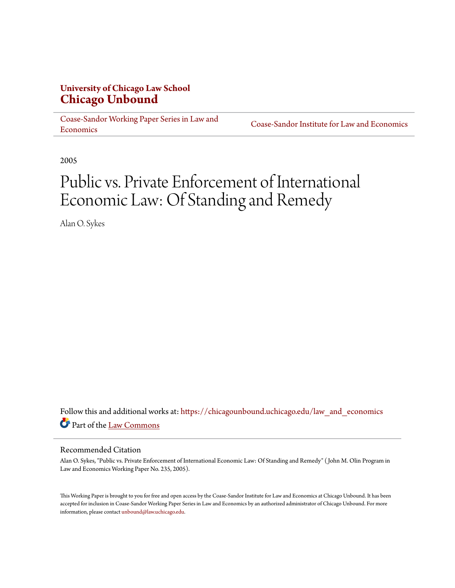## **University of Chicago Law School [Chicago Unbound](https://chicagounbound.uchicago.edu?utm_source=chicagounbound.uchicago.edu%2Flaw_and_economics%2F398&utm_medium=PDF&utm_campaign=PDFCoverPages)**

[Coase-Sandor Working Paper Series in Law and](https://chicagounbound.uchicago.edu/law_and_economics?utm_source=chicagounbound.uchicago.edu%2Flaw_and_economics%2F398&utm_medium=PDF&utm_campaign=PDFCoverPages) [Economics](https://chicagounbound.uchicago.edu/law_and_economics?utm_source=chicagounbound.uchicago.edu%2Flaw_and_economics%2F398&utm_medium=PDF&utm_campaign=PDFCoverPages)

[Coase-Sandor Institute for Law and Economics](https://chicagounbound.uchicago.edu/coase_sandor_institute?utm_source=chicagounbound.uchicago.edu%2Flaw_and_economics%2F398&utm_medium=PDF&utm_campaign=PDFCoverPages)

2005

# Public vs. Private Enforcement of International Economic Law: Of Standing and Remedy

Alan O. Sykes

Follow this and additional works at: [https://chicagounbound.uchicago.edu/law\\_and\\_economics](https://chicagounbound.uchicago.edu/law_and_economics?utm_source=chicagounbound.uchicago.edu%2Flaw_and_economics%2F398&utm_medium=PDF&utm_campaign=PDFCoverPages) Part of the [Law Commons](http://network.bepress.com/hgg/discipline/578?utm_source=chicagounbound.uchicago.edu%2Flaw_and_economics%2F398&utm_medium=PDF&utm_campaign=PDFCoverPages)

#### Recommended Citation

Alan O. Sykes, "Public vs. Private Enforcement of International Economic Law: Of Standing and Remedy" ( John M. Olin Program in Law and Economics Working Paper No. 235, 2005).

This Working Paper is brought to you for free and open access by the Coase-Sandor Institute for Law and Economics at Chicago Unbound. It has been accepted for inclusion in Coase-Sandor Working Paper Series in Law and Economics by an authorized administrator of Chicago Unbound. For more information, please contact [unbound@law.uchicago.edu.](mailto:unbound@law.uchicago.edu)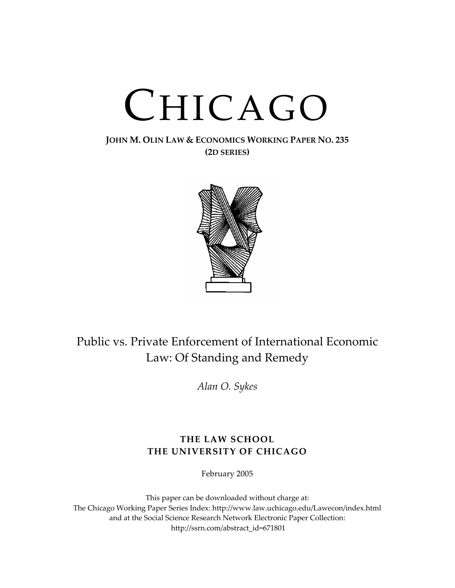# CHICAGO

#### **JOHN M. OLIN LAW & ECONOMICS WORKING PAPER NO. 235 (2D SERIES)**



# Public vs. Private Enforcement of International Economic Law: Of Standing and Remedy

*Alan O. Sykes*

## **THE LAW SCHOOL THE UNIVERSITY OF CHICAGO**

February 2005

This paper can be downloaded without charge at: The Chicago Working Paper Series Index: http://www.law.uchicago.edu/Lawecon/index.html and at the Social Science Research Network Electronic Paper Collection: http://ssrn.com/abstract\_id=671801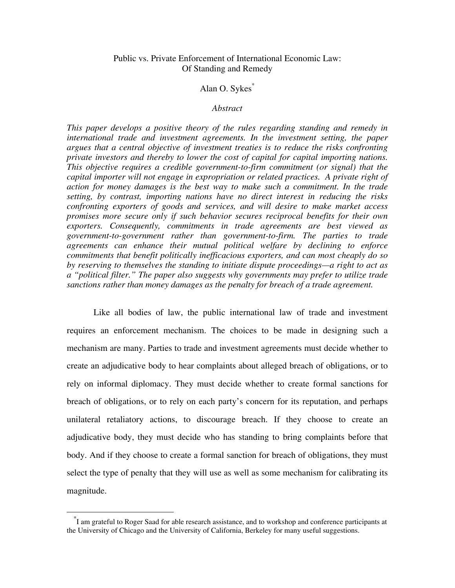#### Public vs. Private Enforcement of International Economic Law: Of Standing and Remedy

#### Alan O. Sykes\*

#### *Abstract*

*This paper develops a positive theory of the rules regarding standing and remedy in international trade and investment agreements. In the investment setting, the paper argues that a central objective of investment treaties is to reduce the risks confronting private investors and thereby to lower the cost of capital for capital importing nations. This objective requires a credible government-to-firm commitment (or signal) that the capital importer will not engage in expropriation or related practices. A private right of action for money damages is the best way to make such a commitment. In the trade setting, by contrast, importing nations have no direct interest in reducing the risks confronting exporters of goods and services, and will desire to make market access promises more secure only if such behavior secures reciprocal benefits for their own exporters. Consequently, commitments in trade agreements are best viewed as government-to-government rather than government-to-firm. The parties to trade agreements can enhance their mutual political welfare by declining to enforce commitments that benefit politically inefficacious exporters, and can most cheaply do so by reserving to themselves the standing to initiate dispute proceedings—a right to act as a "political filter." The paper also suggests why governments may prefer to utilize trade sanctions rather than money damages as the penalty for breach of a trade agreement.* 

 Like all bodies of law, the public international law of trade and investment requires an enforcement mechanism. The choices to be made in designing such a mechanism are many. Parties to trade and investment agreements must decide whether to create an adjudicative body to hear complaints about alleged breach of obligations, or to rely on informal diplomacy. They must decide whether to create formal sanctions for breach of obligations, or to rely on each party's concern for its reputation, and perhaps unilateral retaliatory actions, to discourage breach. If they choose to create an adjudicative body, they must decide who has standing to bring complaints before that body. And if they choose to create a formal sanction for breach of obligations, they must select the type of penalty that they will use as well as some mechanism for calibrating its magnitude.

 <sup>\*</sup> I am grateful to Roger Saad for able research assistance, and to workshop and conference participants at the University of Chicago and the University of California, Berkeley for many useful suggestions.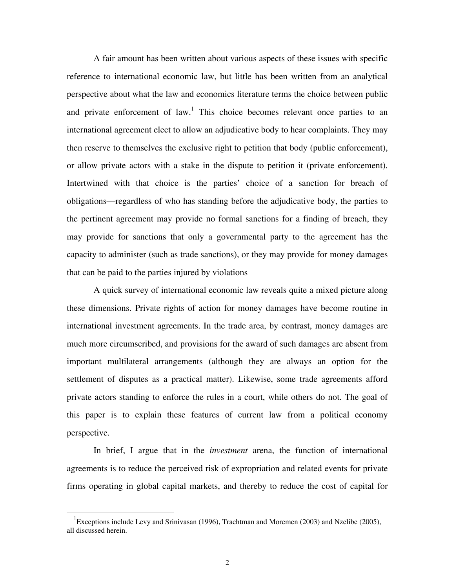A fair amount has been written about various aspects of these issues with specific reference to international economic law, but little has been written from an analytical perspective about what the law and economics literature terms the choice between public and private enforcement of  $law$ .<sup>1</sup> This choice becomes relevant once parties to an international agreement elect to allow an adjudicative body to hear complaints. They may then reserve to themselves the exclusive right to petition that body (public enforcement), or allow private actors with a stake in the dispute to petition it (private enforcement). Intertwined with that choice is the parties' choice of a sanction for breach of obligations—regardless of who has standing before the adjudicative body, the parties to the pertinent agreement may provide no formal sanctions for a finding of breach, they may provide for sanctions that only a governmental party to the agreement has the capacity to administer (such as trade sanctions), or they may provide for money damages that can be paid to the parties injured by violations

 A quick survey of international economic law reveals quite a mixed picture along these dimensions. Private rights of action for money damages have become routine in international investment agreements. In the trade area, by contrast, money damages are much more circumscribed, and provisions for the award of such damages are absent from important multilateral arrangements (although they are always an option for the settlement of disputes as a practical matter). Likewise, some trade agreements afford private actors standing to enforce the rules in a court, while others do not. The goal of this paper is to explain these features of current law from a political economy perspective.

 In brief, I argue that in the *investment* arena, the function of international agreements is to reduce the perceived risk of expropriation and related events for private firms operating in global capital markets, and thereby to reduce the cost of capital for

 $\frac{1}{1}$ Exceptions include Levy and Srinivasan (1996), Trachtman and Moremen (2003) and Nzelibe (2005), all discussed herein.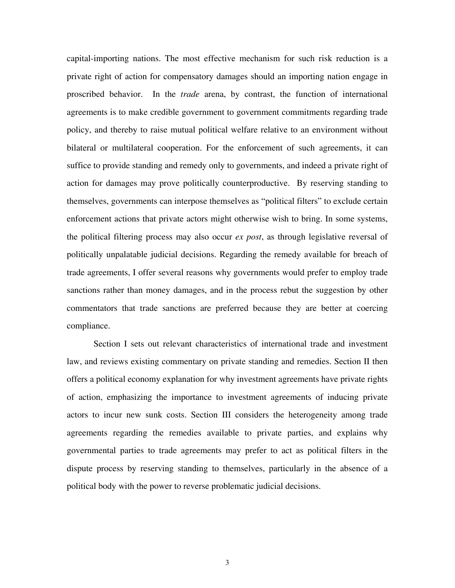capital-importing nations. The most effective mechanism for such risk reduction is a private right of action for compensatory damages should an importing nation engage in proscribed behavior. In the *trade* arena, by contrast, the function of international agreements is to make credible government to government commitments regarding trade policy, and thereby to raise mutual political welfare relative to an environment without bilateral or multilateral cooperation. For the enforcement of such agreements, it can suffice to provide standing and remedy only to governments, and indeed a private right of action for damages may prove politically counterproductive. By reserving standing to themselves, governments can interpose themselves as "political filters" to exclude certain enforcement actions that private actors might otherwise wish to bring. In some systems, the political filtering process may also occur *ex post*, as through legislative reversal of politically unpalatable judicial decisions. Regarding the remedy available for breach of trade agreements, I offer several reasons why governments would prefer to employ trade sanctions rather than money damages, and in the process rebut the suggestion by other commentators that trade sanctions are preferred because they are better at coercing compliance.

 Section I sets out relevant characteristics of international trade and investment law, and reviews existing commentary on private standing and remedies. Section II then offers a political economy explanation for why investment agreements have private rights of action, emphasizing the importance to investment agreements of inducing private actors to incur new sunk costs. Section III considers the heterogeneity among trade agreements regarding the remedies available to private parties, and explains why governmental parties to trade agreements may prefer to act as political filters in the dispute process by reserving standing to themselves, particularly in the absence of a political body with the power to reverse problematic judicial decisions.

3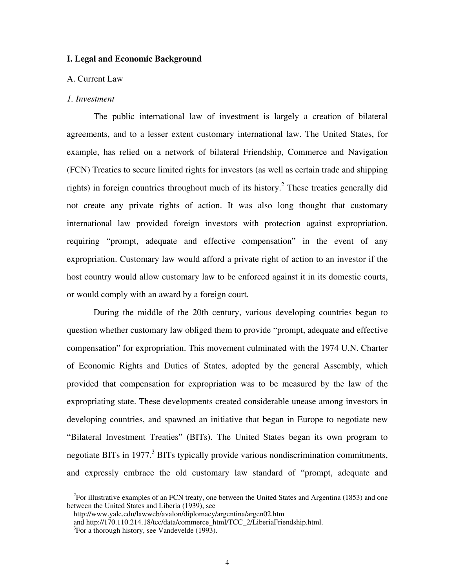#### **I. Legal and Economic Background**

#### A. Current Law

#### *1. Investment*

 The public international law of investment is largely a creation of bilateral agreements, and to a lesser extent customary international law. The United States, for example, has relied on a network of bilateral Friendship, Commerce and Navigation (FCN) Treaties to secure limited rights for investors (as well as certain trade and shipping rights) in foreign countries throughout much of its history.<sup>2</sup> These treaties generally did not create any private rights of action. It was also long thought that customary international law provided foreign investors with protection against expropriation, requiring "prompt, adequate and effective compensation" in the event of any expropriation. Customary law would afford a private right of action to an investor if the host country would allow customary law to be enforced against it in its domestic courts, or would comply with an award by a foreign court.

 During the middle of the 20th century, various developing countries began to question whether customary law obliged them to provide "prompt, adequate and effective compensation" for expropriation. This movement culminated with the 1974 U.N. Charter of Economic Rights and Duties of States, adopted by the general Assembly, which provided that compensation for expropriation was to be measured by the law of the expropriating state. These developments created considerable unease among investors in developing countries, and spawned an initiative that began in Europe to negotiate new "Bilateral Investment Treaties" (BITs). The United States began its own program to negotiate BITs in 1977.<sup>3</sup> BITs typically provide various nondiscrimination commitments, and expressly embrace the old customary law standard of "prompt, adequate and

 $\frac{1}{2}$  $F^2$ For illustrative examples of an FCN treaty, one between the United States and Argentina (1853) and one between the United States and Liberia (1939), see

http://www.yale.edu/lawweb/avalon/diplomacy/argentina/argen02.htm

and http://170.110.214.18/tcc/data/commerce\_html/TCC\_2/LiberiaFriendship.html.

 ${}^{3}$ For a thorough history, see Vandevelde (1993).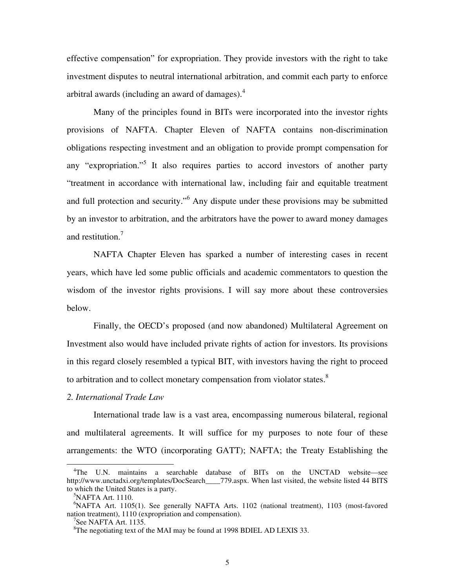effective compensation" for expropriation. They provide investors with the right to take investment disputes to neutral international arbitration, and commit each party to enforce arbitral awards (including an award of damages). $4$ 

 Many of the principles found in BITs were incorporated into the investor rights provisions of NAFTA. Chapter Eleven of NAFTA contains non-discrimination obligations respecting investment and an obligation to provide prompt compensation for any "expropriation."<sup>5</sup> It also requires parties to accord investors of another party "treatment in accordance with international law, including fair and equitable treatment and full protection and security."<sup>6</sup> Any dispute under these provisions may be submitted by an investor to arbitration, and the arbitrators have the power to award money damages and restitution.<sup>7</sup>

 NAFTA Chapter Eleven has sparked a number of interesting cases in recent years, which have led some public officials and academic commentators to question the wisdom of the investor rights provisions. I will say more about these controversies below.

 Finally, the OECD's proposed (and now abandoned) Multilateral Agreement on Investment also would have included private rights of action for investors. Its provisions in this regard closely resembled a typical BIT, with investors having the right to proceed to arbitration and to collect monetary compensation from violator states. $8$ 

#### *2. International Trade Law*

 International trade law is a vast area, encompassing numerous bilateral, regional and multilateral agreements. It will suffice for my purposes to note four of these arrangements: the WTO (incorporating GATT); NAFTA; the Treaty Establishing the

 <sup>4</sup> The U.N. maintains a searchable database of BITs on the UNCTAD website—see http://www.unctadxi.org/templates/DocSearch\_\_\_\_779.aspx. When last visited, the website listed 44 BITS to which the United States is a party.

<sup>&</sup>lt;sup>5</sup>NAFTA Art. 1110.

<sup>6</sup> NAFTA Art. 1105(1). See generally NAFTA Arts. 1102 (national treatment), 1103 (most-favored nation treatment), 1110 (expropriation and compensation).

 $7$ See NAFTA Art. 1135.

<sup>&</sup>lt;sup>8</sup>The negotiating text of the MAI may be found at 1998 BDIEL AD LEXIS 33.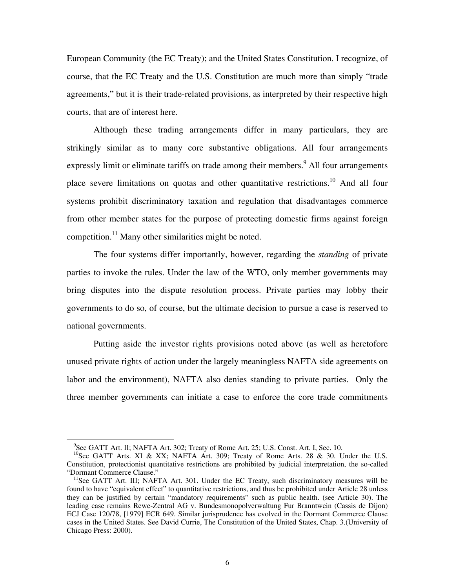European Community (the EC Treaty); and the United States Constitution. I recognize, of course, that the EC Treaty and the U.S. Constitution are much more than simply "trade agreements," but it is their trade-related provisions, as interpreted by their respective high courts, that are of interest here.

 Although these trading arrangements differ in many particulars, they are strikingly similar as to many core substantive obligations. All four arrangements expressly limit or eliminate tariffs on trade among their members.<sup>9</sup> All four arrangements place severe limitations on quotas and other quantitative restrictions.<sup>10</sup> And all four systems prohibit discriminatory taxation and regulation that disadvantages commerce from other member states for the purpose of protecting domestic firms against foreign competition.<sup>11</sup> Many other similarities might be noted.

 The four systems differ importantly, however, regarding the *standing* of private parties to invoke the rules. Under the law of the WTO, only member governments may bring disputes into the dispute resolution process. Private parties may lobby their governments to do so, of course, but the ultimate decision to pursue a case is reserved to national governments.

 Putting aside the investor rights provisions noted above (as well as heretofore unused private rights of action under the largely meaningless NAFTA side agreements on labor and the environment), NAFTA also denies standing to private parties. Only the three member governments can initiate a case to enforce the core trade commitments

<sup>&</sup>lt;sup>9</sup>See GATT Art. II; NAFTA Art. 302; Treaty of Rome Art. 25; U.S. Const. Art. I, Sec. 10.

 $^{10}$ See GATT Arts. XI & XX; NAFTA Art. 309; Treaty of Rome Arts. 28 & 30. Under the U.S. Constitution, protectionist quantitative restrictions are prohibited by judicial interpretation, the so-called "Dormant Commerce Clause."<br><sup>11</sup>See GATT Art. III; NAFTA Art. 301. Under the EC Treaty, such discriminatory measures will be

found to have "equivalent effect" to quantitative restrictions, and thus be prohibited under Article 28 unless they can be justified by certain "mandatory requirements" such as public health. (see Article 30). The leading case remains Rewe-Zentral AG v. Bundesmonopolverwaltung Fur Branntwein (Cassis de Dijon) ECJ Case 120/78, [1979] ECR 649. Similar jurisprudence has evolved in the Dormant Commerce Clause cases in the United States. See David Currie, The Constitution of the United States, Chap. 3.(University of Chicago Press: 2000).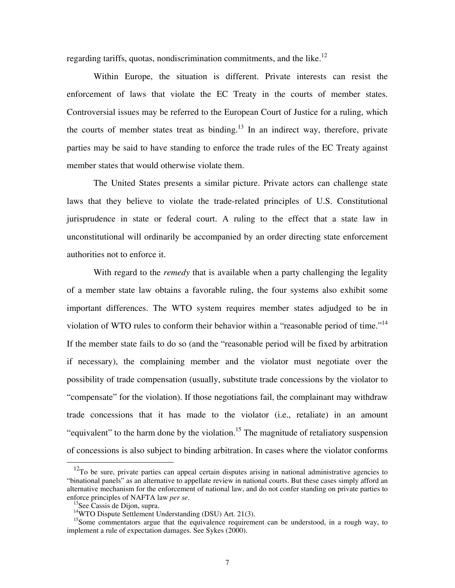regarding tariffs, quotas, nondiscrimination commitments, and the like.<sup>12</sup>

 Within Europe, the situation is different. Private interests can resist the enforcement of laws that violate the EC Treaty in the courts of member states. Controversial issues may be referred to the European Court of Justice for a ruling, which the courts of member states treat as binding. $13$  In an indirect way, therefore, private parties may be said to have standing to enforce the trade rules of the EC Treaty against member states that would otherwise violate them.

 The United States presents a similar picture. Private actors can challenge state laws that they believe to violate the trade-related principles of U.S. Constitutional jurisprudence in state or federal court. A ruling to the effect that a state law in unconstitutional will ordinarily be accompanied by an order directing state enforcement authorities not to enforce it.

 With regard to the *remedy* that is available when a party challenging the legality of a member state law obtains a favorable ruling, the four systems also exhibit some important differences. The WTO system requires member states adjudged to be in violation of WTO rules to conform their behavior within a "reasonable period of time."<sup>14</sup> If the member state fails to do so (and the "reasonable period will be fixed by arbitration if necessary), the complaining member and the violator must negotiate over the possibility of trade compensation (usually, substitute trade concessions by the violator to "compensate" for the violation). If those negotiations fail, the complainant may withdraw trade concessions that it has made to the violator (i.e., retaliate) in an amount "equivalent" to the harm done by the violation.<sup>15</sup> The magnitude of retaliatory suspension of concessions is also subject to binding arbitration. In cases where the violator conforms

 $12$ To be sure, private parties can appeal certain disputes arising in national administrative agencies to "binational panels" as an alternative to appellate review in national courts. But these cases simply afford an alternative mechanism for the enforcement of national law, and do not confer standing on private parties to enforce principles of NAFTA law *per se*.<br><sup>13</sup>See Cassis de Dijon, supra.

<sup>&</sup>lt;sup>14</sup>WTO Dispute Settlement Understanding (DSU) Art. 21(3).

<sup>&</sup>lt;sup>15</sup>Some commentators argue that the equivalence requirement can be understood, in a rough way, to implement a rule of expectation damages. See Sykes (2000).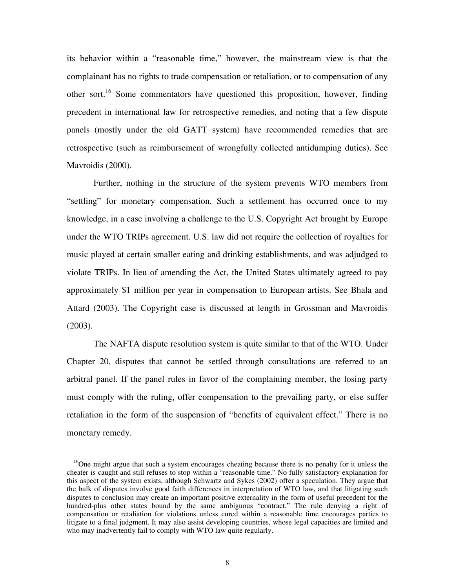its behavior within a "reasonable time," however, the mainstream view is that the complainant has no rights to trade compensation or retaliation, or to compensation of any other sort.<sup>16</sup> Some commentators have questioned this proposition, however, finding precedent in international law for retrospective remedies, and noting that a few dispute panels (mostly under the old GATT system) have recommended remedies that are retrospective (such as reimbursement of wrongfully collected antidumping duties). See Mavroidis (2000).

 Further, nothing in the structure of the system prevents WTO members from "settling" for monetary compensation. Such a settlement has occurred once to my knowledge, in a case involving a challenge to the U.S. Copyright Act brought by Europe under the WTO TRIPs agreement. U.S. law did not require the collection of royalties for music played at certain smaller eating and drinking establishments, and was adjudged to violate TRIPs. In lieu of amending the Act, the United States ultimately agreed to pay approximately \$1 million per year in compensation to European artists. See Bhala and Attard (2003). The Copyright case is discussed at length in Grossman and Mavroidis (2003).

 The NAFTA dispute resolution system is quite similar to that of the WTO. Under Chapter 20, disputes that cannot be settled through consultations are referred to an arbitral panel. If the panel rules in favor of the complaining member, the losing party must comply with the ruling, offer compensation to the prevailing party, or else suffer retaliation in the form of the suspension of "benefits of equivalent effect." There is no monetary remedy.

 $<sup>16</sup>$ One might argue that such a system encourages cheating because there is no penalty for it unless the</sup> cheater is caught and still refuses to stop within a "reasonable time." No fully satisfactory explanation for this aspect of the system exists, although Schwartz and Sykes (2002) offer a speculation. They argue that the bulk of disputes involve good faith differences in interpretation of WTO law, and that litigating such disputes to conclusion may create an important positive externality in the form of useful precedent for the hundred-plus other states bound by the same ambiguous "contract." The rule denying a right of compensation or retaliation for violations unless cured within a reasonable time encourages parties to litigate to a final judgment. It may also assist developing countries, whose legal capacities are limited and who may inadvertently fail to comply with WTO law quite regularly.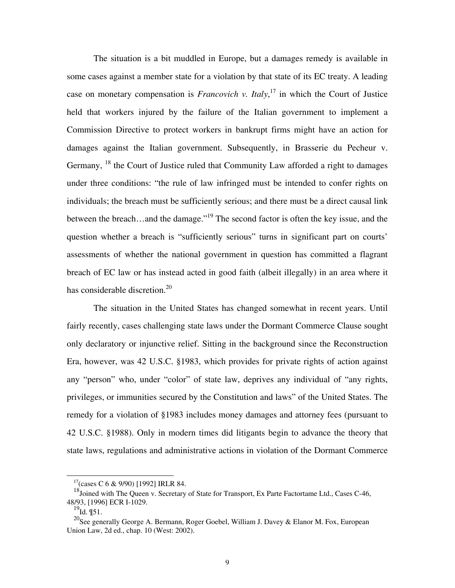The situation is a bit muddled in Europe, but a damages remedy is available in some cases against a member state for a violation by that state of its EC treaty. A leading case on monetary compensation is  $Francovich$  v. Italy,<sup>17</sup> in which the Court of Justice held that workers injured by the failure of the Italian government to implement a Commission Directive to protect workers in bankrupt firms might have an action for damages against the Italian government. Subsequently, in Brasserie du Pecheur v. Germany, <sup>18</sup> the Court of Justice ruled that Community Law afforded a right to damages under three conditions: "the rule of law infringed must be intended to confer rights on individuals; the breach must be sufficiently serious; and there must be a direct causal link between the breach...and the damage."<sup>19</sup> The second factor is often the key issue, and the question whether a breach is "sufficiently serious" turns in significant part on courts' assessments of whether the national government in question has committed a flagrant breach of EC law or has instead acted in good faith (albeit illegally) in an area where it has considerable discretion.<sup>20</sup>

 The situation in the United States has changed somewhat in recent years. Until fairly recently, cases challenging state laws under the Dormant Commerce Clause sought only declaratory or injunctive relief. Sitting in the background since the Reconstruction Era, however, was 42 U.S.C. §1983, which provides for private rights of action against any "person" who, under "color" of state law, deprives any individual of "any rights, privileges, or immunities secured by the Constitution and laws" of the United States. The remedy for a violation of §1983 includes money damages and attorney fees (pursuant to 42 U.S.C. §1988). Only in modern times did litigants begin to advance the theory that state laws, regulations and administrative actions in violation of the Dormant Commerce

 $17$ (cases C 6 & 9/90) [1992] IRLR 84.

<sup>&</sup>lt;sup>18</sup>Joined with The Queen v. Secretary of State for Transport, Ex Parte Factortame Ltd., Cases C-46, 48/93, [1996] ECR I-1029.

 $^{19}$ Id. ¶51.

<sup>&</sup>lt;sup>20</sup>See generally George A. Bermann, Roger Goebel, William J. Davey & Elanor M. Fox, European Union Law, 2d ed., chap. 10 (West: 2002).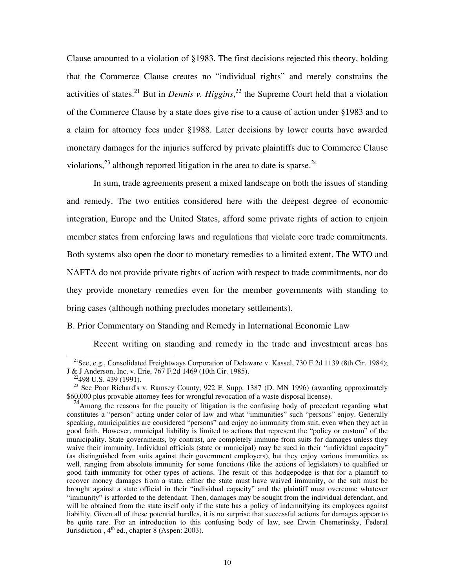Clause amounted to a violation of §1983. The first decisions rejected this theory, holding that the Commerce Clause creates no "individual rights" and merely constrains the activities of states.<sup>21</sup> But in *Dennis v. Higgins*,<sup>22</sup> the Supreme Court held that a violation of the Commerce Clause by a state does give rise to a cause of action under §1983 and to a claim for attorney fees under §1988. Later decisions by lower courts have awarded monetary damages for the injuries suffered by private plaintiffs due to Commerce Clause violations,  $^{23}$  although reported litigation in the area to date is sparse.  $^{24}$ 

 In sum, trade agreements present a mixed landscape on both the issues of standing and remedy. The two entities considered here with the deepest degree of economic integration, Europe and the United States, afford some private rights of action to enjoin member states from enforcing laws and regulations that violate core trade commitments. Both systems also open the door to monetary remedies to a limited extent. The WTO and NAFTA do not provide private rights of action with respect to trade commitments, nor do they provide monetary remedies even for the member governments with standing to bring cases (although nothing precludes monetary settlements).

#### B. Prior Commentary on Standing and Remedy in International Economic Law

Recent writing on standing and remedy in the trade and investment areas has

<sup>&</sup>lt;sup>21</sup>See, e.g., Consolidated Freightways Corporation of Delaware v. Kassel, 730 F.2d 1139 (8th Cir. 1984); J & J Anderson, Inc. v. Erie, 767 F.2d 1469 (10th Cir. 1985).<br><sup>22</sup>498 U.S. 439 (1991).

<sup>&</sup>lt;sup>23</sup> See Poor Richard's v. Ramsey County, 922 F. Supp. 1387 (D. MN 1996) (awarding approximately \$60,000 plus provable attorney fees for wrongful revocation of a waste disposal license).

 $^{24}$ Among the reasons for the paucity of litigation is the confusing body of precedent regarding what constitutes a "person" acting under color of law and what "immunities" such "persons" enjoy. Generally speaking, municipalities are considered "persons" and enjoy no immunity from suit, even when they act in good faith. However, municipal liability is limited to actions that represent the "policy or custom" of the municipality. State governments, by contrast, are completely immune from suits for damages unless they waive their immunity. Individual officials (state or municipal) may be sued in their "individual capacity" (as distinguished from suits against their government employers), but they enjoy various immunities as well, ranging from absolute immunity for some functions (like the actions of legislators) to qualified or good faith immunity for other types of actions. The result of this hodgepodge is that for a plaintiff to recover money damages from a state, either the state must have waived immunity, or the suit must be brought against a state official in their "individual capacity" and the plaintiff must overcome whatever "immunity" is afforded to the defendant. Then, damages may be sought from the individual defendant, and will be obtained from the state itself only if the state has a policy of indemnifying its employees against liability. Given all of these potential hurdles, it is no surprise that successful actions for damages appear to be quite rare. For an introduction to this confusing body of law, see Erwin Chemerinsky, Federal Jurisdiction,  $4<sup>th</sup>$  ed., chapter 8 (Aspen: 2003).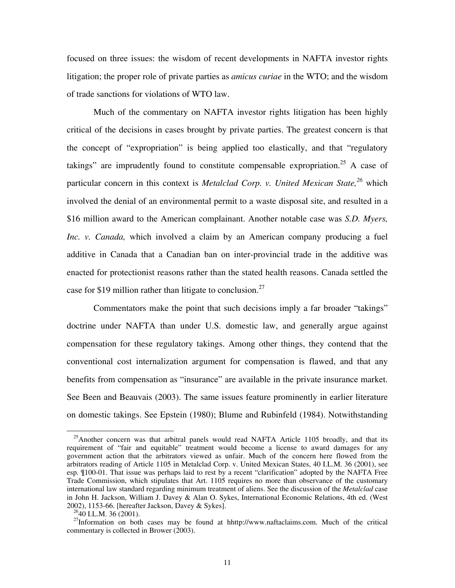focused on three issues: the wisdom of recent developments in NAFTA investor rights litigation; the proper role of private parties as *amicus curiae* in the WTO; and the wisdom of trade sanctions for violations of WTO law.

 Much of the commentary on NAFTA investor rights litigation has been highly critical of the decisions in cases brought by private parties. The greatest concern is that the concept of "expropriation" is being applied too elastically, and that "regulatory takings" are imprudently found to constitute compensable expropriation.<sup>25</sup> A case of particular concern in this context is *Metalclad Corp. v. United Mexican State,<sup>26</sup>* which involved the denial of an environmental permit to a waste disposal site, and resulted in a \$16 million award to the American complainant. Another notable case was *S.D. Myers, Inc. v. Canada,* which involved a claim by an American company producing a fuel additive in Canada that a Canadian ban on inter-provincial trade in the additive was enacted for protectionist reasons rather than the stated health reasons. Canada settled the case for \$19 million rather than litigate to conclusion.<sup>27</sup>

Commentators make the point that such decisions imply a far broader "takings" doctrine under NAFTA than under U.S. domestic law, and generally argue against compensation for these regulatory takings. Among other things, they contend that the conventional cost internalization argument for compensation is flawed, and that any benefits from compensation as "insurance" are available in the private insurance market. See Been and Beauvais (2003). The same issues feature prominently in earlier literature on domestic takings. See Epstein (1980); Blume and Rubinfeld (1984). Notwithstanding

 $^{25}$ Another concern was that arbitral panels would read NAFTA Article 1105 broadly, and that its requirement of "fair and equitable" treatment would become a license to award damages for any government action that the arbitrators viewed as unfair. Much of the concern here flowed from the arbitrators reading of Article 1105 in Metalclad Corp. v. United Mexican States, 40 I.L.M. 36 (2001), see esp. ¶100-01. That issue was perhaps laid to rest by a recent "clarification" adopted by the NAFTA Free Trade Commission, which stipulates that Art. 1105 requires no more than observance of the customary international law standard regarding minimum treatment of aliens. See the discussion of the *Metalclad* case in John H. Jackson, William J. Davey & Alan O. Sykes, International Economic Relations, 4th ed. (West 2002), 1153-66. [hereafter Jackson, Davey & Sykes].

 $^{26}$ 40 I.L.M. 36 (2001).

 $27$ Information on both cases may be found at hhttp://www.naftaclaims.com. Much of the critical commentary is collected in Brower (2003).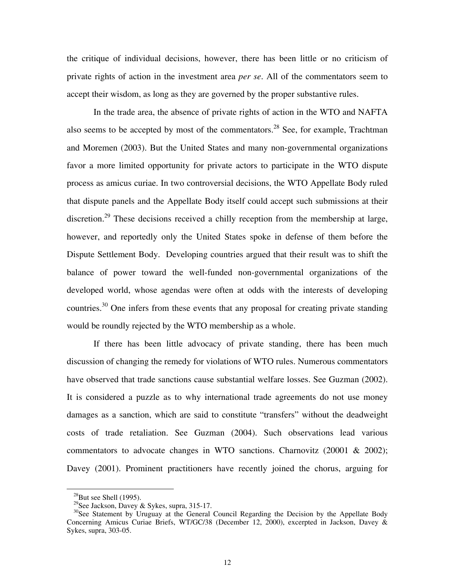the critique of individual decisions, however, there has been little or no criticism of private rights of action in the investment area *per se*. All of the commentators seem to accept their wisdom, as long as they are governed by the proper substantive rules.

 In the trade area, the absence of private rights of action in the WTO and NAFTA also seems to be accepted by most of the commentators.<sup>28</sup> See, for example, Trachtman and Moremen (2003). But the United States and many non-governmental organizations favor a more limited opportunity for private actors to participate in the WTO dispute process as amicus curiae. In two controversial decisions, the WTO Appellate Body ruled that dispute panels and the Appellate Body itself could accept such submissions at their discretion.<sup>29</sup> These decisions received a chilly reception from the membership at large, however, and reportedly only the United States spoke in defense of them before the Dispute Settlement Body. Developing countries argued that their result was to shift the balance of power toward the well-funded non-governmental organizations of the developed world, whose agendas were often at odds with the interests of developing countries.<sup>30</sup> One infers from these events that any proposal for creating private standing would be roundly rejected by the WTO membership as a whole.

 If there has been little advocacy of private standing, there has been much discussion of changing the remedy for violations of WTO rules. Numerous commentators have observed that trade sanctions cause substantial welfare losses. See Guzman (2002). It is considered a puzzle as to why international trade agreements do not use money damages as a sanction, which are said to constitute "transfers" without the deadweight costs of trade retaliation. See Guzman (2004). Such observations lead various commentators to advocate changes in WTO sanctions. Charnovitz (20001 & 2002); Davey (2001). Prominent practitioners have recently joined the chorus, arguing for

 $^{28}$ But see Shell (1995).

<sup>&</sup>lt;sup>29</sup>See Jackson, Davey & Sykes, supra, 315-17.

<sup>&</sup>lt;sup>30</sup>See Statement by Uruguay at the General Council Regarding the Decision by the Appellate Body Concerning Amicus Curiae Briefs, WT/GC/38 (December 12, 2000), excerpted in Jackson, Davey & Sykes, supra, 303-05.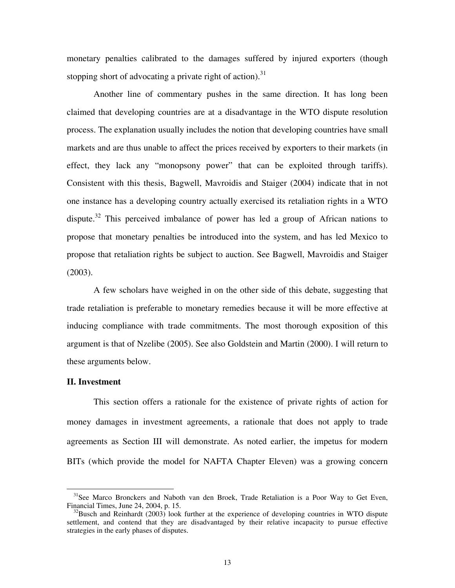monetary penalties calibrated to the damages suffered by injured exporters (though stopping short of advocating a private right of action).<sup>31</sup>

 Another line of commentary pushes in the same direction. It has long been claimed that developing countries are at a disadvantage in the WTO dispute resolution process. The explanation usually includes the notion that developing countries have small markets and are thus unable to affect the prices received by exporters to their markets (in effect, they lack any "monopsony power" that can be exploited through tariffs). Consistent with this thesis, Bagwell, Mavroidis and Staiger (2004) indicate that in not one instance has a developing country actually exercised its retaliation rights in a WTO dispute.<sup>32</sup> This perceived imbalance of power has led a group of African nations to propose that monetary penalties be introduced into the system, and has led Mexico to propose that retaliation rights be subject to auction. See Bagwell, Mavroidis and Staiger (2003).

 A few scholars have weighed in on the other side of this debate, suggesting that trade retaliation is preferable to monetary remedies because it will be more effective at inducing compliance with trade commitments. The most thorough exposition of this argument is that of Nzelibe (2005). See also Goldstein and Martin (2000). I will return to these arguments below.

#### **II. Investment**

 This section offers a rationale for the existence of private rights of action for money damages in investment agreements, a rationale that does not apply to trade agreements as Section III will demonstrate. As noted earlier, the impetus for modern BITs (which provide the model for NAFTA Chapter Eleven) was a growing concern

<sup>&</sup>lt;sup>31</sup>See Marco Bronckers and Naboth van den Broek, Trade Retaliation is a Poor Way to Get Even, Financial Times, June 24, 2004, p. 15.

 $^{32}$ Busch and Reinhardt (2003) look further at the experience of developing countries in WTO dispute settlement, and contend that they are disadvantaged by their relative incapacity to pursue effective strategies in the early phases of disputes.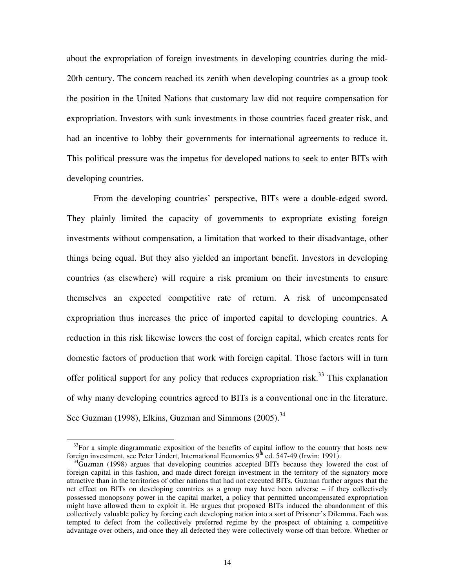about the expropriation of foreign investments in developing countries during the mid-20th century. The concern reached its zenith when developing countries as a group took the position in the United Nations that customary law did not require compensation for expropriation. Investors with sunk investments in those countries faced greater risk, and had an incentive to lobby their governments for international agreements to reduce it. This political pressure was the impetus for developed nations to seek to enter BITs with developing countries.

 From the developing countries' perspective, BITs were a double-edged sword. They plainly limited the capacity of governments to expropriate existing foreign investments without compensation, a limitation that worked to their disadvantage, other things being equal. But they also yielded an important benefit. Investors in developing countries (as elsewhere) will require a risk premium on their investments to ensure themselves an expected competitive rate of return. A risk of uncompensated expropriation thus increases the price of imported capital to developing countries. A reduction in this risk likewise lowers the cost of foreign capital, which creates rents for domestic factors of production that work with foreign capital. Those factors will in turn offer political support for any policy that reduces expropriation risk.<sup>33</sup> This explanation of why many developing countries agreed to BITs is a conventional one in the literature. See Guzman (1998), Elkins, Guzman and Simmons (2005).<sup>34</sup>

<sup>&</sup>lt;sup>33</sup>For a simple diagrammatic exposition of the benefits of capital inflow to the country that hosts new foreign investment, see Peter Lindert, International Economics  $9<sup>th</sup>$  ed. 547-49 (Irwin: 1991).

 $^{34}$ Guzman (1998) argues that developing countries accepted BITs because they lowered the cost of foreign capital in this fashion, and made direct foreign investment in the territory of the signatory more attractive than in the territories of other nations that had not executed BITs. Guzman further argues that the net effect on BITs on developing countries as a group may have been adverse – if they collectively possessed monopsony power in the capital market, a policy that permitted uncompensated expropriation might have allowed them to exploit it. He argues that proposed BITs induced the abandonment of this collectively valuable policy by forcing each developing nation into a sort of Prisoner's Dilemma. Each was tempted to defect from the collectively preferred regime by the prospect of obtaining a competitive advantage over others, and once they all defected they were collectively worse off than before. Whether or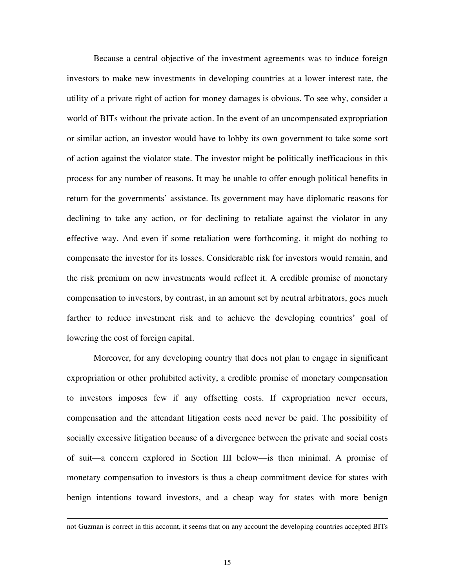Because a central objective of the investment agreements was to induce foreign investors to make new investments in developing countries at a lower interest rate, the utility of a private right of action for money damages is obvious. To see why, consider a world of BITs without the private action. In the event of an uncompensated expropriation or similar action, an investor would have to lobby its own government to take some sort of action against the violator state. The investor might be politically inefficacious in this process for any number of reasons. It may be unable to offer enough political benefits in return for the governments' assistance. Its government may have diplomatic reasons for declining to take any action, or for declining to retaliate against the violator in any effective way. And even if some retaliation were forthcoming, it might do nothing to compensate the investor for its losses. Considerable risk for investors would remain, and the risk premium on new investments would reflect it. A credible promise of monetary compensation to investors, by contrast, in an amount set by neutral arbitrators, goes much farther to reduce investment risk and to achieve the developing countries' goal of lowering the cost of foreign capital.

 Moreover, for any developing country that does not plan to engage in significant expropriation or other prohibited activity, a credible promise of monetary compensation to investors imposes few if any offsetting costs. If expropriation never occurs, compensation and the attendant litigation costs need never be paid. The possibility of socially excessive litigation because of a divergence between the private and social costs of suit—a concern explored in Section III below—is then minimal. A promise of monetary compensation to investors is thus a cheap commitment device for states with benign intentions toward investors, and a cheap way for states with more benign

not Guzman is correct in this account, it seems that on any account the developing countries accepted BITs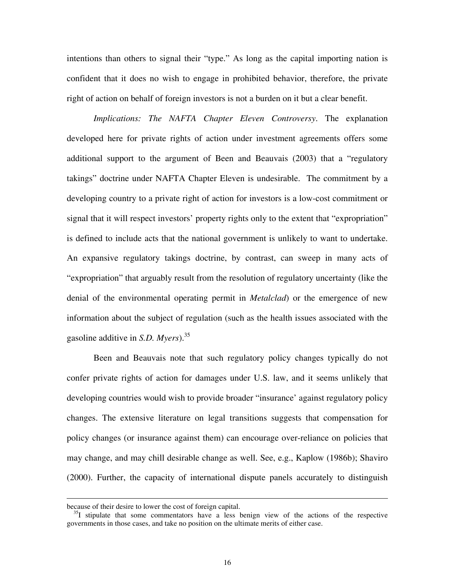intentions than others to signal their "type." As long as the capital importing nation is confident that it does no wish to engage in prohibited behavior, therefore, the private right of action on behalf of foreign investors is not a burden on it but a clear benefit.

*Implications: The NAFTA Chapter Eleven Controversy*. The explanation developed here for private rights of action under investment agreements offers some additional support to the argument of Been and Beauvais (2003) that a "regulatory takings" doctrine under NAFTA Chapter Eleven is undesirable. The commitment by a developing country to a private right of action for investors is a low-cost commitment or signal that it will respect investors' property rights only to the extent that "expropriation" is defined to include acts that the national government is unlikely to want to undertake. An expansive regulatory takings doctrine, by contrast, can sweep in many acts of "expropriation" that arguably result from the resolution of regulatory uncertainty (like the denial of the environmental operating permit in *Metalclad*) or the emergence of new information about the subject of regulation (such as the health issues associated with the gasoline additive in *S.D. Myers*).35

Been and Beauvais note that such regulatory policy changes typically do not confer private rights of action for damages under U.S. law, and it seems unlikely that developing countries would wish to provide broader "insurance' against regulatory policy changes. The extensive literature on legal transitions suggests that compensation for policy changes (or insurance against them) can encourage over-reliance on policies that may change, and may chill desirable change as well. See, e.g., Kaplow (1986b); Shaviro (2000). Further, the capacity of international dispute panels accurately to distinguish

because of their desire to lower the cost of foreign capital.

 $35I$  stipulate that some commentators have a less benign view of the actions of the respective governments in those cases, and take no position on the ultimate merits of either case.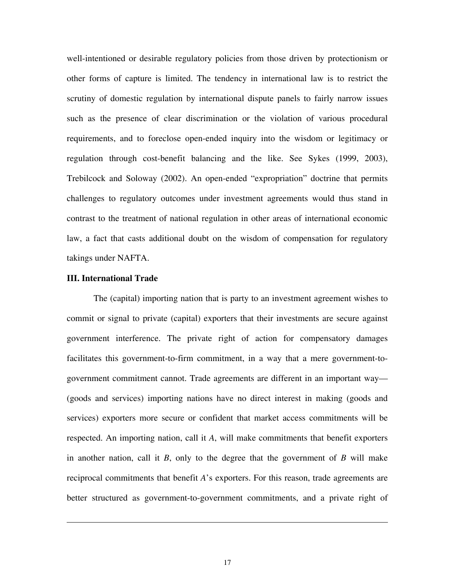well-intentioned or desirable regulatory policies from those driven by protectionism or other forms of capture is limited. The tendency in international law is to restrict the scrutiny of domestic regulation by international dispute panels to fairly narrow issues such as the presence of clear discrimination or the violation of various procedural requirements, and to foreclose open-ended inquiry into the wisdom or legitimacy or regulation through cost-benefit balancing and the like. See Sykes (1999, 2003), Trebilcock and Soloway (2002). An open-ended "expropriation" doctrine that permits challenges to regulatory outcomes under investment agreements would thus stand in contrast to the treatment of national regulation in other areas of international economic law, a fact that casts additional doubt on the wisdom of compensation for regulatory takings under NAFTA.

#### **III. International Trade**

 $\overline{a}$ 

 The (capital) importing nation that is party to an investment agreement wishes to commit or signal to private (capital) exporters that their investments are secure against government interference. The private right of action for compensatory damages facilitates this government-to-firm commitment, in a way that a mere government-togovernment commitment cannot. Trade agreements are different in an important way— (goods and services) importing nations have no direct interest in making (goods and services) exporters more secure or confident that market access commitments will be respected. An importing nation, call it *A*, will make commitments that benefit exporters in another nation, call it *B*, only to the degree that the government of *B* will make reciprocal commitments that benefit *A*'s exporters. For this reason, trade agreements are better structured as government-to-government commitments, and a private right of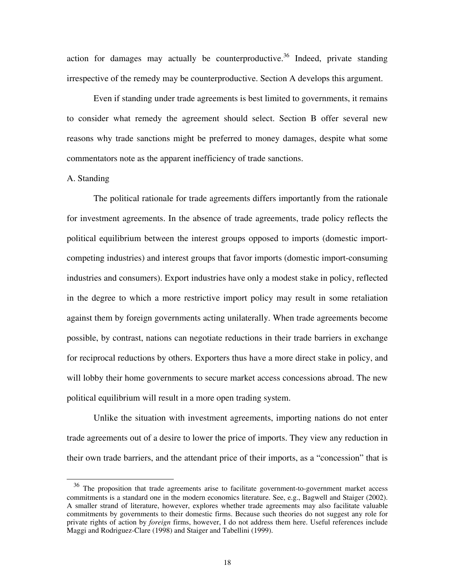action for damages may actually be counterproductive.<sup>36</sup> Indeed, private standing irrespective of the remedy may be counterproductive. Section A develops this argument.

 Even if standing under trade agreements is best limited to governments, it remains to consider what remedy the agreement should select. Section B offer several new reasons why trade sanctions might be preferred to money damages, despite what some commentators note as the apparent inefficiency of trade sanctions.

#### A. Standing

The political rationale for trade agreements differs importantly from the rationale for investment agreements. In the absence of trade agreements, trade policy reflects the political equilibrium between the interest groups opposed to imports (domestic importcompeting industries) and interest groups that favor imports (domestic import-consuming industries and consumers). Export industries have only a modest stake in policy, reflected in the degree to which a more restrictive import policy may result in some retaliation against them by foreign governments acting unilaterally. When trade agreements become possible, by contrast, nations can negotiate reductions in their trade barriers in exchange for reciprocal reductions by others. Exporters thus have a more direct stake in policy, and will lobby their home governments to secure market access concessions abroad. The new political equilibrium will result in a more open trading system.

 Unlike the situation with investment agreements, importing nations do not enter trade agreements out of a desire to lower the price of imports. They view any reduction in their own trade barriers, and the attendant price of their imports, as a "concession" that is

<sup>&</sup>lt;sup>36</sup> The proposition that trade agreements arise to facilitate government-to-government market access commitments is a standard one in the modern economics literature. See, e.g., Bagwell and Staiger (2002). A smaller strand of literature, however, explores whether trade agreements may also facilitate valuable commitments by governments to their domestic firms. Because such theories do not suggest any role for private rights of action by *foreign* firms, however, I do not address them here. Useful references include Maggi and Rodriguez-Clare (1998) and Staiger and Tabellini (1999).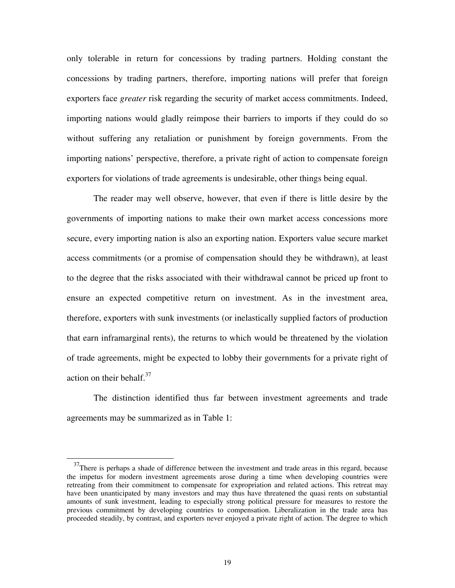only tolerable in return for concessions by trading partners. Holding constant the concessions by trading partners, therefore, importing nations will prefer that foreign exporters face *greater* risk regarding the security of market access commitments. Indeed, importing nations would gladly reimpose their barriers to imports if they could do so without suffering any retaliation or punishment by foreign governments. From the importing nations' perspective, therefore, a private right of action to compensate foreign exporters for violations of trade agreements is undesirable, other things being equal.

 The reader may well observe, however, that even if there is little desire by the governments of importing nations to make their own market access concessions more secure, every importing nation is also an exporting nation. Exporters value secure market access commitments (or a promise of compensation should they be withdrawn), at least to the degree that the risks associated with their withdrawal cannot be priced up front to ensure an expected competitive return on investment. As in the investment area, therefore, exporters with sunk investments (or inelastically supplied factors of production that earn inframarginal rents), the returns to which would be threatened by the violation of trade agreements, might be expected to lobby their governments for a private right of action on their behalf. $37$ 

 The distinction identified thus far between investment agreements and trade agreements may be summarized as in Table 1:

 $37$ There is perhaps a shade of difference between the investment and trade areas in this regard, because the impetus for modern investment agreements arose during a time when developing countries were retreating from their commitment to compensate for expropriation and related actions. This retreat may have been unanticipated by many investors and may thus have threatened the quasi rents on substantial amounts of sunk investment, leading to especially strong political pressure for measures to restore the previous commitment by developing countries to compensation. Liberalization in the trade area has proceeded steadily, by contrast, and exporters never enjoyed a private right of action. The degree to which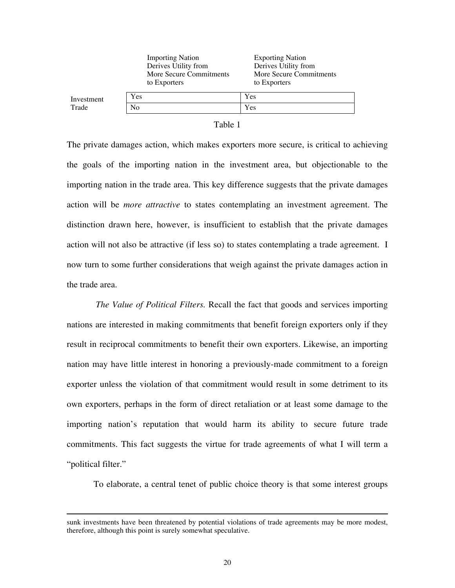|            | <b>Importing Nation</b><br>Derives Utility from<br>More Secure Commitments<br>to Exporters | <b>Exporting Nation</b><br>Derives Utility from<br>More Secure Commitments<br>to Exporters |
|------------|--------------------------------------------------------------------------------------------|--------------------------------------------------------------------------------------------|
| Investment | Yes                                                                                        | Yes                                                                                        |
| Trade      | N <sub>0</sub>                                                                             | Yes                                                                                        |

#### Table 1

The private damages action, which makes exporters more secure, is critical to achieving the goals of the importing nation in the investment area, but objectionable to the importing nation in the trade area. This key difference suggests that the private damages action will be *more attractive* to states contemplating an investment agreement. The distinction drawn here, however, is insufficient to establish that the private damages action will not also be attractive (if less so) to states contemplating a trade agreement. I now turn to some further considerations that weigh against the private damages action in the trade area.

 *The Value of Political Filters.* Recall the fact that goods and services importing nations are interested in making commitments that benefit foreign exporters only if they result in reciprocal commitments to benefit their own exporters. Likewise, an importing nation may have little interest in honoring a previously-made commitment to a foreign exporter unless the violation of that commitment would result in some detriment to its own exporters, perhaps in the form of direct retaliation or at least some damage to the importing nation's reputation that would harm its ability to secure future trade commitments. This fact suggests the virtue for trade agreements of what I will term a "political filter."

To elaborate, a central tenet of public choice theory is that some interest groups

sunk investments have been threatened by potential violations of trade agreements may be more modest, therefore, although this point is surely somewhat speculative.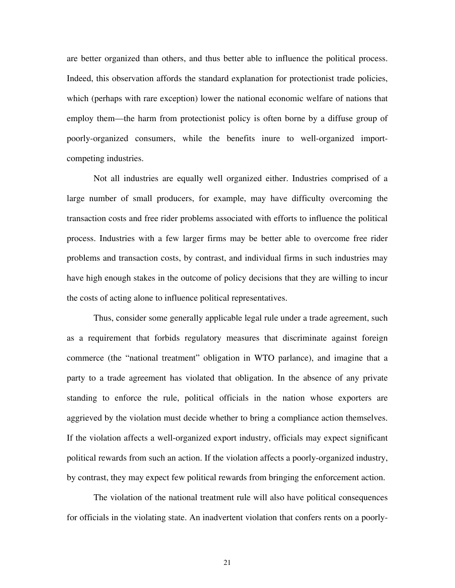are better organized than others, and thus better able to influence the political process. Indeed, this observation affords the standard explanation for protectionist trade policies, which (perhaps with rare exception) lower the national economic welfare of nations that employ them—the harm from protectionist policy is often borne by a diffuse group of poorly-organized consumers, while the benefits inure to well-organized importcompeting industries.

Not all industries are equally well organized either. Industries comprised of a large number of small producers, for example, may have difficulty overcoming the transaction costs and free rider problems associated with efforts to influence the political process. Industries with a few larger firms may be better able to overcome free rider problems and transaction costs, by contrast, and individual firms in such industries may have high enough stakes in the outcome of policy decisions that they are willing to incur the costs of acting alone to influence political representatives.

Thus, consider some generally applicable legal rule under a trade agreement, such as a requirement that forbids regulatory measures that discriminate against foreign commerce (the "national treatment" obligation in WTO parlance), and imagine that a party to a trade agreement has violated that obligation. In the absence of any private standing to enforce the rule, political officials in the nation whose exporters are aggrieved by the violation must decide whether to bring a compliance action themselves. If the violation affects a well-organized export industry, officials may expect significant political rewards from such an action. If the violation affects a poorly-organized industry, by contrast, they may expect few political rewards from bringing the enforcement action.

The violation of the national treatment rule will also have political consequences for officials in the violating state. An inadvertent violation that confers rents on a poorly-

21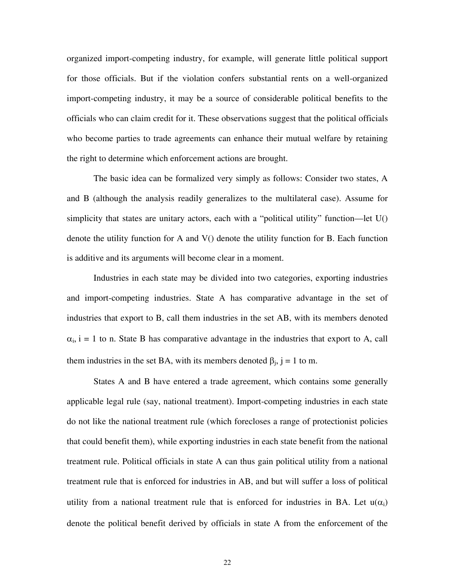organized import-competing industry, for example, will generate little political support for those officials. But if the violation confers substantial rents on a well-organized import-competing industry, it may be a source of considerable political benefits to the officials who can claim credit for it. These observations suggest that the political officials who become parties to trade agreements can enhance their mutual welfare by retaining the right to determine which enforcement actions are brought.

The basic idea can be formalized very simply as follows: Consider two states, A and B (although the analysis readily generalizes to the multilateral case). Assume for simplicity that states are unitary actors, each with a "political utility" function—let U() denote the utility function for A and V() denote the utility function for B. Each function is additive and its arguments will become clear in a moment.

Industries in each state may be divided into two categories, exporting industries and import-competing industries. State A has comparative advantage in the set of industries that export to B, call them industries in the set AB, with its members denoted  $\alpha_i$ , i = 1 to n. State B has comparative advantage in the industries that export to A, call them industries in the set BA, with its members denoted  $\beta_j$ , j = 1 to m.

States A and B have entered a trade agreement, which contains some generally applicable legal rule (say, national treatment). Import-competing industries in each state do not like the national treatment rule (which forecloses a range of protectionist policies that could benefit them), while exporting industries in each state benefit from the national treatment rule. Political officials in state A can thus gain political utility from a national treatment rule that is enforced for industries in AB, and but will suffer a loss of political utility from a national treatment rule that is enforced for industries in BA. Let  $u(\alpha_i)$ denote the political benefit derived by officials in state A from the enforcement of the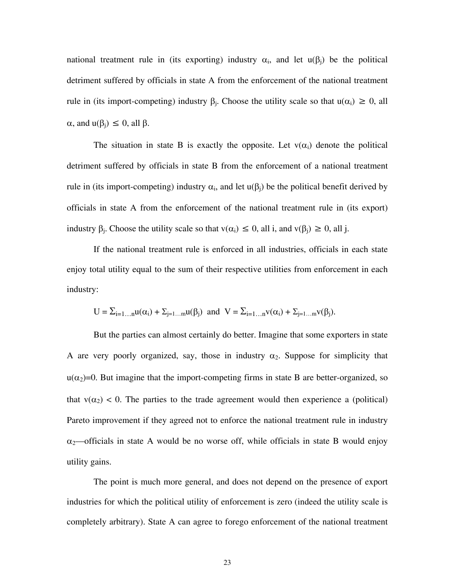national treatment rule in (its exporting) industry  $\alpha_i$ , and let  $u(\beta_i)$  be the political detriment suffered by officials in state A from the enforcement of the national treatment rule in (its import-competing) industry  $\beta_i$ . Choose the utility scale so that  $u(\alpha_i) \geq 0$ , all  $\alpha$ , and  $u(\beta_i) \leq 0$ , all  $\beta$ .

The situation in state B is exactly the opposite. Let  $v(\alpha_i)$  denote the political detriment suffered by officials in state B from the enforcement of a national treatment rule in (its import-competing) industry  $\alpha_i$ , and let  $u(\beta_i)$  be the political benefit derived by officials in state A from the enforcement of the national treatment rule in (its export) industry  $\beta_i$ . Choose the utility scale so that  $v(\alpha_i) \leq 0$ , all i, and  $v(\beta_i) \geq 0$ , all j.

If the national treatment rule is enforced in all industries, officials in each state enjoy total utility equal to the sum of their respective utilities from enforcement in each industry:

$$
U = \sum_{i=1...n} u(\alpha_i) + \sum_{j=1...m} u(\beta_j)
$$
 and 
$$
V = \sum_{i=1...n} v(\alpha_i) + \sum_{j=1...m} v(\beta_j).
$$

But the parties can almost certainly do better. Imagine that some exporters in state A are very poorly organized, say, those in industry  $\alpha_2$ . Suppose for simplicity that  $u(\alpha_2)=0$ . But imagine that the import-competing firms in state B are better-organized, so that  $v(\alpha_2)$  < 0. The parties to the trade agreement would then experience a (political) Pareto improvement if they agreed not to enforce the national treatment rule in industry  $\alpha_2$ —officials in state A would be no worse off, while officials in state B would enjoy utility gains.

The point is much more general, and does not depend on the presence of export industries for which the political utility of enforcement is zero (indeed the utility scale is completely arbitrary). State A can agree to forego enforcement of the national treatment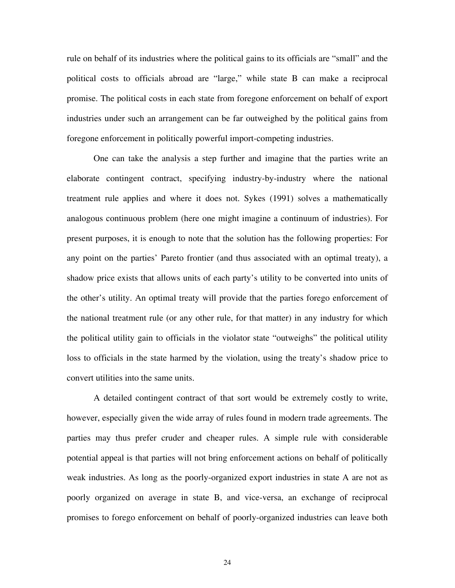rule on behalf of its industries where the political gains to its officials are "small" and the political costs to officials abroad are "large," while state B can make a reciprocal promise. The political costs in each state from foregone enforcement on behalf of export industries under such an arrangement can be far outweighed by the political gains from foregone enforcement in politically powerful import-competing industries.

One can take the analysis a step further and imagine that the parties write an elaborate contingent contract, specifying industry-by-industry where the national treatment rule applies and where it does not. Sykes (1991) solves a mathematically analogous continuous problem (here one might imagine a continuum of industries). For present purposes, it is enough to note that the solution has the following properties: For any point on the parties' Pareto frontier (and thus associated with an optimal treaty), a shadow price exists that allows units of each party's utility to be converted into units of the other's utility. An optimal treaty will provide that the parties forego enforcement of the national treatment rule (or any other rule, for that matter) in any industry for which the political utility gain to officials in the violator state "outweighs" the political utility loss to officials in the state harmed by the violation, using the treaty's shadow price to convert utilities into the same units.

A detailed contingent contract of that sort would be extremely costly to write, however, especially given the wide array of rules found in modern trade agreements. The parties may thus prefer cruder and cheaper rules. A simple rule with considerable potential appeal is that parties will not bring enforcement actions on behalf of politically weak industries. As long as the poorly-organized export industries in state A are not as poorly organized on average in state B, and vice-versa, an exchange of reciprocal promises to forego enforcement on behalf of poorly-organized industries can leave both

24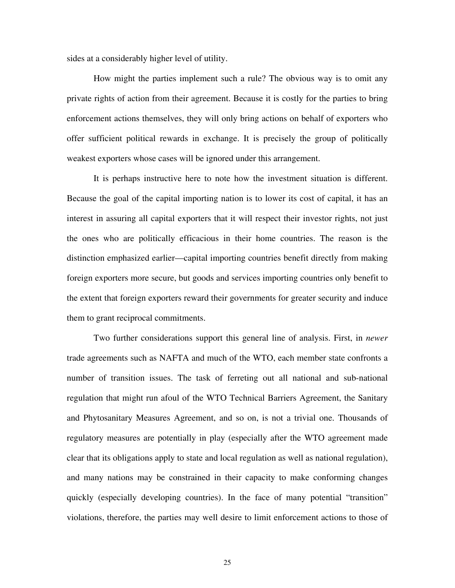sides at a considerably higher level of utility.

How might the parties implement such a rule? The obvious way is to omit any private rights of action from their agreement. Because it is costly for the parties to bring enforcement actions themselves, they will only bring actions on behalf of exporters who offer sufficient political rewards in exchange. It is precisely the group of politically weakest exporters whose cases will be ignored under this arrangement.

It is perhaps instructive here to note how the investment situation is different. Because the goal of the capital importing nation is to lower its cost of capital, it has an interest in assuring all capital exporters that it will respect their investor rights, not just the ones who are politically efficacious in their home countries. The reason is the distinction emphasized earlier—capital importing countries benefit directly from making foreign exporters more secure, but goods and services importing countries only benefit to the extent that foreign exporters reward their governments for greater security and induce them to grant reciprocal commitments.

Two further considerations support this general line of analysis. First, in *newer* trade agreements such as NAFTA and much of the WTO, each member state confronts a number of transition issues. The task of ferreting out all national and sub-national regulation that might run afoul of the WTO Technical Barriers Agreement, the Sanitary and Phytosanitary Measures Agreement, and so on, is not a trivial one. Thousands of regulatory measures are potentially in play (especially after the WTO agreement made clear that its obligations apply to state and local regulation as well as national regulation), and many nations may be constrained in their capacity to make conforming changes quickly (especially developing countries). In the face of many potential "transition" violations, therefore, the parties may well desire to limit enforcement actions to those of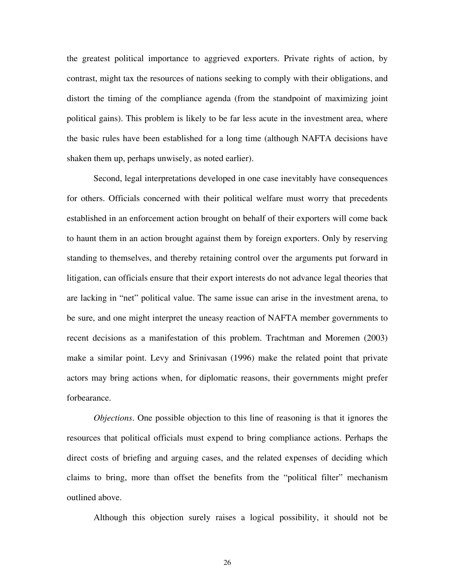the greatest political importance to aggrieved exporters. Private rights of action, by contrast, might tax the resources of nations seeking to comply with their obligations, and distort the timing of the compliance agenda (from the standpoint of maximizing joint political gains). This problem is likely to be far less acute in the investment area, where the basic rules have been established for a long time (although NAFTA decisions have shaken them up, perhaps unwisely, as noted earlier).

Second, legal interpretations developed in one case inevitably have consequences for others. Officials concerned with their political welfare must worry that precedents established in an enforcement action brought on behalf of their exporters will come back to haunt them in an action brought against them by foreign exporters. Only by reserving standing to themselves, and thereby retaining control over the arguments put forward in litigation, can officials ensure that their export interests do not advance legal theories that are lacking in "net" political value. The same issue can arise in the investment arena, to be sure, and one might interpret the uneasy reaction of NAFTA member governments to recent decisions as a manifestation of this problem. Trachtman and Moremen (2003) make a similar point. Levy and Srinivasan (1996) make the related point that private actors may bring actions when, for diplomatic reasons, their governments might prefer forbearance.

*Objections*. One possible objection to this line of reasoning is that it ignores the resources that political officials must expend to bring compliance actions. Perhaps the direct costs of briefing and arguing cases, and the related expenses of deciding which claims to bring, more than offset the benefits from the "political filter" mechanism outlined above.

Although this objection surely raises a logical possibility, it should not be

26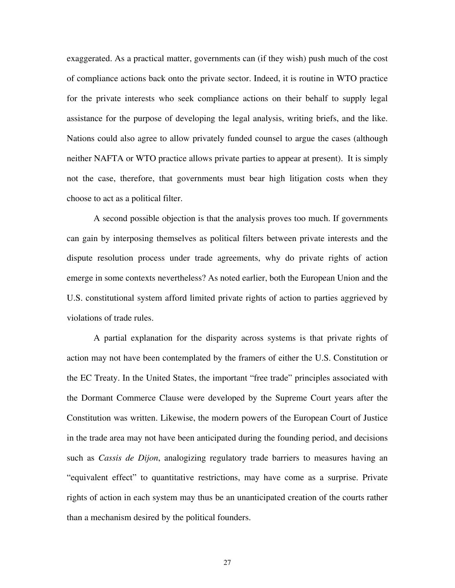exaggerated. As a practical matter, governments can (if they wish) push much of the cost of compliance actions back onto the private sector. Indeed, it is routine in WTO practice for the private interests who seek compliance actions on their behalf to supply legal assistance for the purpose of developing the legal analysis, writing briefs, and the like. Nations could also agree to allow privately funded counsel to argue the cases (although neither NAFTA or WTO practice allows private parties to appear at present). It is simply not the case, therefore, that governments must bear high litigation costs when they choose to act as a political filter.

A second possible objection is that the analysis proves too much. If governments can gain by interposing themselves as political filters between private interests and the dispute resolution process under trade agreements, why do private rights of action emerge in some contexts nevertheless? As noted earlier, both the European Union and the U.S. constitutional system afford limited private rights of action to parties aggrieved by violations of trade rules.

A partial explanation for the disparity across systems is that private rights of action may not have been contemplated by the framers of either the U.S. Constitution or the EC Treaty. In the United States, the important "free trade" principles associated with the Dormant Commerce Clause were developed by the Supreme Court years after the Constitution was written. Likewise, the modern powers of the European Court of Justice in the trade area may not have been anticipated during the founding period, and decisions such as *Cassis de Dijon*, analogizing regulatory trade barriers to measures having an "equivalent effect" to quantitative restrictions, may have come as a surprise. Private rights of action in each system may thus be an unanticipated creation of the courts rather than a mechanism desired by the political founders.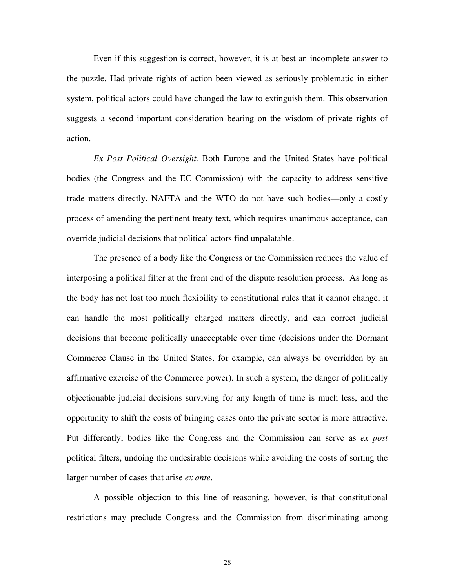Even if this suggestion is correct, however, it is at best an incomplete answer to the puzzle. Had private rights of action been viewed as seriously problematic in either system, political actors could have changed the law to extinguish them. This observation suggests a second important consideration bearing on the wisdom of private rights of action.

*Ex Post Political Oversight.* Both Europe and the United States have political bodies (the Congress and the EC Commission) with the capacity to address sensitive trade matters directly. NAFTA and the WTO do not have such bodies—only a costly process of amending the pertinent treaty text, which requires unanimous acceptance, can override judicial decisions that political actors find unpalatable.

The presence of a body like the Congress or the Commission reduces the value of interposing a political filter at the front end of the dispute resolution process. As long as the body has not lost too much flexibility to constitutional rules that it cannot change, it can handle the most politically charged matters directly, and can correct judicial decisions that become politically unacceptable over time (decisions under the Dormant Commerce Clause in the United States, for example, can always be overridden by an affirmative exercise of the Commerce power). In such a system, the danger of politically objectionable judicial decisions surviving for any length of time is much less, and the opportunity to shift the costs of bringing cases onto the private sector is more attractive. Put differently, bodies like the Congress and the Commission can serve as *ex post* political filters, undoing the undesirable decisions while avoiding the costs of sorting the larger number of cases that arise *ex ante*.

A possible objection to this line of reasoning, however, is that constitutional restrictions may preclude Congress and the Commission from discriminating among

28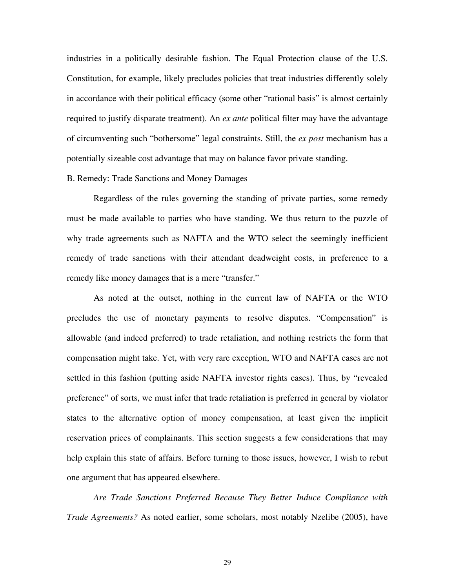industries in a politically desirable fashion. The Equal Protection clause of the U.S. Constitution, for example, likely precludes policies that treat industries differently solely in accordance with their political efficacy (some other "rational basis" is almost certainly required to justify disparate treatment). An *ex ante* political filter may have the advantage of circumventing such "bothersome" legal constraints. Still, the *ex post* mechanism has a potentially sizeable cost advantage that may on balance favor private standing.

#### B. Remedy: Trade Sanctions and Money Damages

Regardless of the rules governing the standing of private parties, some remedy must be made available to parties who have standing. We thus return to the puzzle of why trade agreements such as NAFTA and the WTO select the seemingly inefficient remedy of trade sanctions with their attendant deadweight costs, in preference to a remedy like money damages that is a mere "transfer."

As noted at the outset, nothing in the current law of NAFTA or the WTO precludes the use of monetary payments to resolve disputes. "Compensation" is allowable (and indeed preferred) to trade retaliation, and nothing restricts the form that compensation might take. Yet, with very rare exception, WTO and NAFTA cases are not settled in this fashion (putting aside NAFTA investor rights cases). Thus, by "revealed preference" of sorts, we must infer that trade retaliation is preferred in general by violator states to the alternative option of money compensation, at least given the implicit reservation prices of complainants. This section suggests a few considerations that may help explain this state of affairs. Before turning to those issues, however, I wish to rebut one argument that has appeared elsewhere.

*Are Trade Sanctions Preferred Because They Better Induce Compliance with Trade Agreements?* As noted earlier, some scholars, most notably Nzelibe (2005), have

29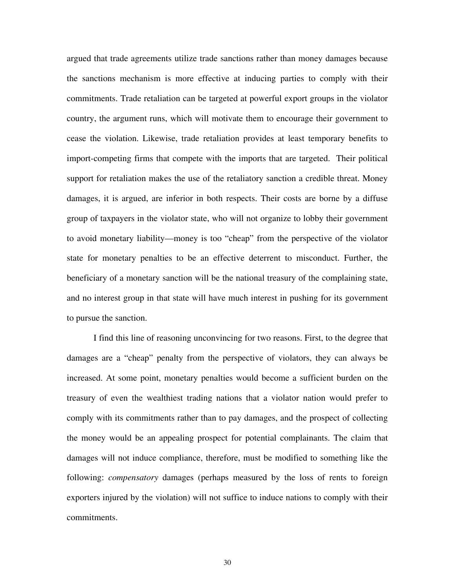argued that trade agreements utilize trade sanctions rather than money damages because the sanctions mechanism is more effective at inducing parties to comply with their commitments. Trade retaliation can be targeted at powerful export groups in the violator country, the argument runs, which will motivate them to encourage their government to cease the violation. Likewise, trade retaliation provides at least temporary benefits to import-competing firms that compete with the imports that are targeted. Their political support for retaliation makes the use of the retaliatory sanction a credible threat. Money damages, it is argued, are inferior in both respects. Their costs are borne by a diffuse group of taxpayers in the violator state, who will not organize to lobby their government to avoid monetary liability—money is too "cheap" from the perspective of the violator state for monetary penalties to be an effective deterrent to misconduct. Further, the beneficiary of a monetary sanction will be the national treasury of the complaining state, and no interest group in that state will have much interest in pushing for its government to pursue the sanction.

I find this line of reasoning unconvincing for two reasons. First, to the degree that damages are a "cheap" penalty from the perspective of violators, they can always be increased. At some point, monetary penalties would become a sufficient burden on the treasury of even the wealthiest trading nations that a violator nation would prefer to comply with its commitments rather than to pay damages, and the prospect of collecting the money would be an appealing prospect for potential complainants. The claim that damages will not induce compliance, therefore, must be modified to something like the following: *compensatory* damages (perhaps measured by the loss of rents to foreign exporters injured by the violation) will not suffice to induce nations to comply with their commitments.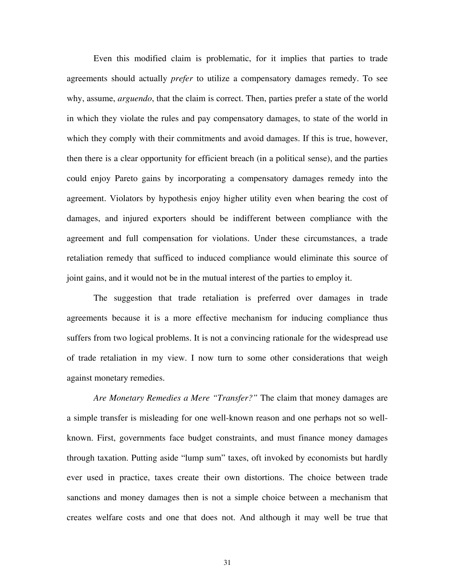Even this modified claim is problematic, for it implies that parties to trade agreements should actually *prefer* to utilize a compensatory damages remedy. To see why, assume, *arguendo*, that the claim is correct. Then, parties prefer a state of the world in which they violate the rules and pay compensatory damages, to state of the world in which they comply with their commitments and avoid damages. If this is true, however, then there is a clear opportunity for efficient breach (in a political sense), and the parties could enjoy Pareto gains by incorporating a compensatory damages remedy into the agreement. Violators by hypothesis enjoy higher utility even when bearing the cost of damages, and injured exporters should be indifferent between compliance with the agreement and full compensation for violations. Under these circumstances, a trade retaliation remedy that sufficed to induced compliance would eliminate this source of joint gains, and it would not be in the mutual interest of the parties to employ it.

The suggestion that trade retaliation is preferred over damages in trade agreements because it is a more effective mechanism for inducing compliance thus suffers from two logical problems. It is not a convincing rationale for the widespread use of trade retaliation in my view. I now turn to some other considerations that weigh against monetary remedies.

*Are Monetary Remedies a Mere "Transfer?"* The claim that money damages are a simple transfer is misleading for one well-known reason and one perhaps not so wellknown. First, governments face budget constraints, and must finance money damages through taxation. Putting aside "lump sum" taxes, oft invoked by economists but hardly ever used in practice, taxes create their own distortions. The choice between trade sanctions and money damages then is not a simple choice between a mechanism that creates welfare costs and one that does not. And although it may well be true that

31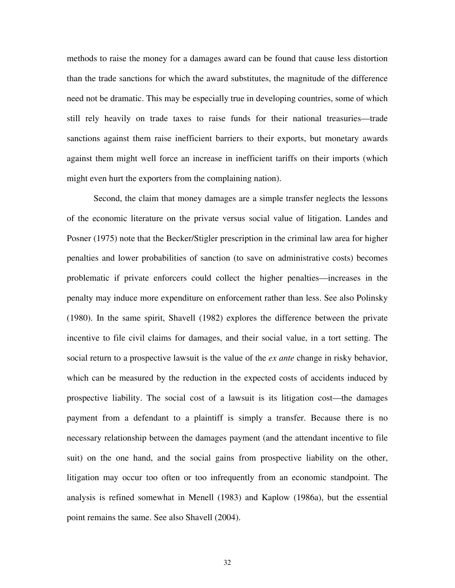methods to raise the money for a damages award can be found that cause less distortion than the trade sanctions for which the award substitutes, the magnitude of the difference need not be dramatic. This may be especially true in developing countries, some of which still rely heavily on trade taxes to raise funds for their national treasuries—trade sanctions against them raise inefficient barriers to their exports, but monetary awards against them might well force an increase in inefficient tariffs on their imports (which might even hurt the exporters from the complaining nation).

Second, the claim that money damages are a simple transfer neglects the lessons of the economic literature on the private versus social value of litigation. Landes and Posner (1975) note that the Becker/Stigler prescription in the criminal law area for higher penalties and lower probabilities of sanction (to save on administrative costs) becomes problematic if private enforcers could collect the higher penalties—increases in the penalty may induce more expenditure on enforcement rather than less. See also Polinsky (1980). In the same spirit, Shavell (1982) explores the difference between the private incentive to file civil claims for damages, and their social value, in a tort setting. The social return to a prospective lawsuit is the value of the *ex ante* change in risky behavior, which can be measured by the reduction in the expected costs of accidents induced by prospective liability. The social cost of a lawsuit is its litigation cost—the damages payment from a defendant to a plaintiff is simply a transfer. Because there is no necessary relationship between the damages payment (and the attendant incentive to file suit) on the one hand, and the social gains from prospective liability on the other, litigation may occur too often or too infrequently from an economic standpoint. The analysis is refined somewhat in Menell (1983) and Kaplow (1986a), but the essential point remains the same. See also Shavell (2004).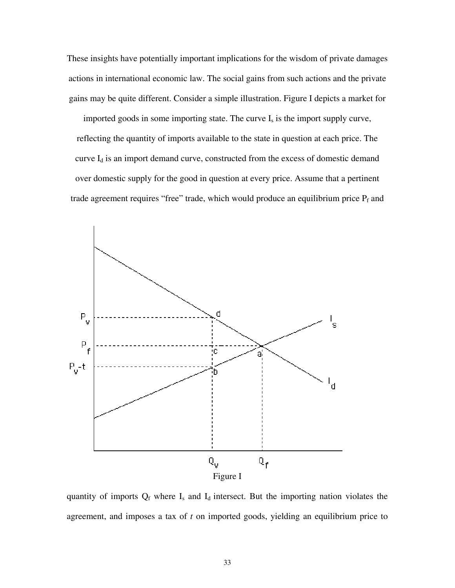These insights have potentially important implications for the wisdom of private damages actions in international economic law. The social gains from such actions and the private gains may be quite different. Consider a simple illustration. Figure I depicts a market for

imported goods in some importing state. The curve  $I_s$  is the import supply curve, reflecting the quantity of imports available to the state in question at each price. The curve I<sub>d</sub> is an import demand curve, constructed from the excess of domestic demand over domestic supply for the good in question at every price. Assume that a pertinent trade agreement requires "free" trade, which would produce an equilibrium price  $P_f$  and



quantity of imports  $Q_f$  where  $I_s$  and  $I_d$  intersect. But the importing nation violates the agreement, and imposes a tax of *t* on imported goods, yielding an equilibrium price to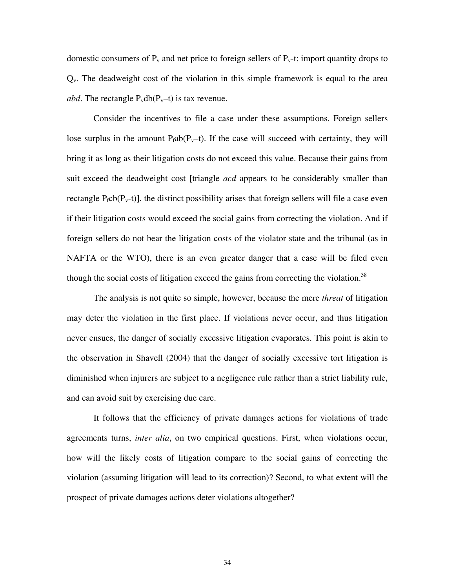domestic consumers of  $P_v$  and net price to foreign sellers of  $P_v$ -t; import quantity drops to  $Q<sub>v</sub>$ . The deadweight cost of the violation in this simple framework is equal to the area *abd*. The rectangle  $P_v db(P_v-t)$  is tax revenue.

Consider the incentives to file a case under these assumptions. Foreign sellers lose surplus in the amount  $P_f ab(P_v-t)$ . If the case will succeed with certainty, they will bring it as long as their litigation costs do not exceed this value. Because their gains from suit exceed the deadweight cost [triangle *acd* appears to be considerably smaller than rectangle  $P_fcb(P_v-t)$ , the distinct possibility arises that foreign sellers will file a case even if their litigation costs would exceed the social gains from correcting the violation. And if foreign sellers do not bear the litigation costs of the violator state and the tribunal (as in NAFTA or the WTO), there is an even greater danger that a case will be filed even though the social costs of litigation exceed the gains from correcting the violation.<sup>38</sup>

The analysis is not quite so simple, however, because the mere *threat* of litigation may deter the violation in the first place. If violations never occur, and thus litigation never ensues, the danger of socially excessive litigation evaporates. This point is akin to the observation in Shavell (2004) that the danger of socially excessive tort litigation is diminished when injurers are subject to a negligence rule rather than a strict liability rule, and can avoid suit by exercising due care.

It follows that the efficiency of private damages actions for violations of trade agreements turns, *inter alia*, on two empirical questions. First, when violations occur, how will the likely costs of litigation compare to the social gains of correcting the violation (assuming litigation will lead to its correction)? Second, to what extent will the prospect of private damages actions deter violations altogether?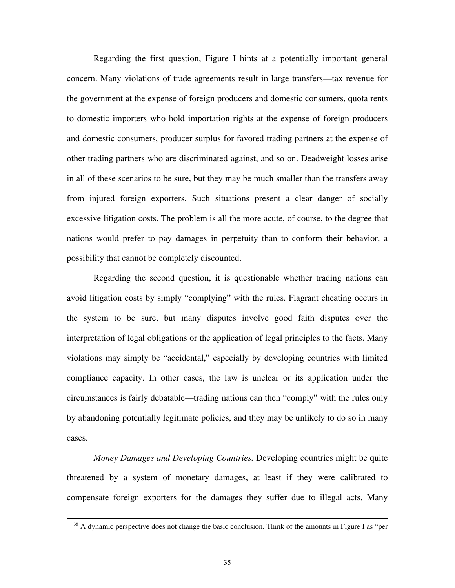Regarding the first question, Figure I hints at a potentially important general concern. Many violations of trade agreements result in large transfers—tax revenue for the government at the expense of foreign producers and domestic consumers, quota rents to domestic importers who hold importation rights at the expense of foreign producers and domestic consumers, producer surplus for favored trading partners at the expense of other trading partners who are discriminated against, and so on. Deadweight losses arise in all of these scenarios to be sure, but they may be much smaller than the transfers away from injured foreign exporters. Such situations present a clear danger of socially excessive litigation costs. The problem is all the more acute, of course, to the degree that nations would prefer to pay damages in perpetuity than to conform their behavior, a possibility that cannot be completely discounted.

Regarding the second question, it is questionable whether trading nations can avoid litigation costs by simply "complying" with the rules. Flagrant cheating occurs in the system to be sure, but many disputes involve good faith disputes over the interpretation of legal obligations or the application of legal principles to the facts. Many violations may simply be "accidental," especially by developing countries with limited compliance capacity. In other cases, the law is unclear or its application under the circumstances is fairly debatable—trading nations can then "comply" with the rules only by abandoning potentially legitimate policies, and they may be unlikely to do so in many cases.

*Money Damages and Developing Countries.* Developing countries might be quite threatened by a system of monetary damages, at least if they were calibrated to compensate foreign exporters for the damages they suffer due to illegal acts. Many

<sup>&</sup>lt;sup>38</sup> A dynamic perspective does not change the basic conclusion. Think of the amounts in Figure I as "per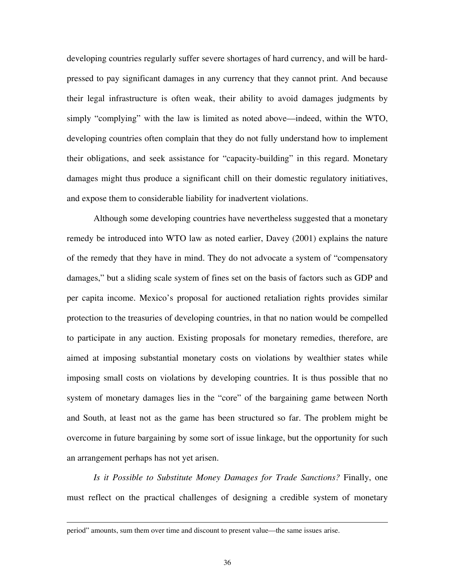developing countries regularly suffer severe shortages of hard currency, and will be hardpressed to pay significant damages in any currency that they cannot print. And because their legal infrastructure is often weak, their ability to avoid damages judgments by simply "complying" with the law is limited as noted above—indeed, within the WTO, developing countries often complain that they do not fully understand how to implement their obligations, and seek assistance for "capacity-building" in this regard. Monetary damages might thus produce a significant chill on their domestic regulatory initiatives, and expose them to considerable liability for inadvertent violations.

Although some developing countries have nevertheless suggested that a monetary remedy be introduced into WTO law as noted earlier, Davey (2001) explains the nature of the remedy that they have in mind. They do not advocate a system of "compensatory damages," but a sliding scale system of fines set on the basis of factors such as GDP and per capita income. Mexico's proposal for auctioned retaliation rights provides similar protection to the treasuries of developing countries, in that no nation would be compelled to participate in any auction. Existing proposals for monetary remedies, therefore, are aimed at imposing substantial monetary costs on violations by wealthier states while imposing small costs on violations by developing countries. It is thus possible that no system of monetary damages lies in the "core" of the bargaining game between North and South, at least not as the game has been structured so far. The problem might be overcome in future bargaining by some sort of issue linkage, but the opportunity for such an arrangement perhaps has not yet arisen.

*Is it Possible to Substitute Money Damages for Trade Sanctions?* Finally, one must reflect on the practical challenges of designing a credible system of monetary

period" amounts, sum them over time and discount to present value—the same issues arise.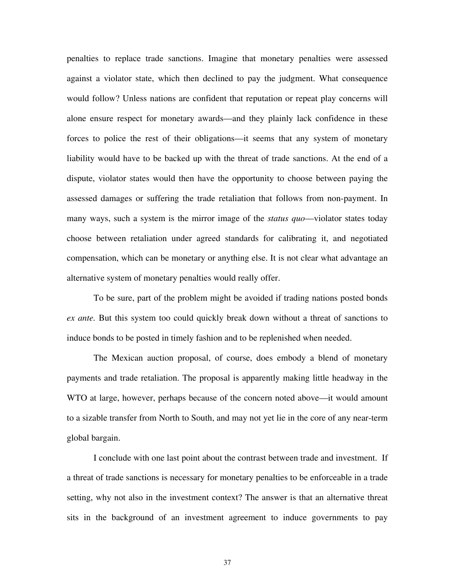penalties to replace trade sanctions. Imagine that monetary penalties were assessed against a violator state, which then declined to pay the judgment. What consequence would follow? Unless nations are confident that reputation or repeat play concerns will alone ensure respect for monetary awards—and they plainly lack confidence in these forces to police the rest of their obligations—it seems that any system of monetary liability would have to be backed up with the threat of trade sanctions. At the end of a dispute, violator states would then have the opportunity to choose between paying the assessed damages or suffering the trade retaliation that follows from non-payment. In many ways, such a system is the mirror image of the *status quo*—violator states today choose between retaliation under agreed standards for calibrating it, and negotiated compensation, which can be monetary or anything else. It is not clear what advantage an alternative system of monetary penalties would really offer.

To be sure, part of the problem might be avoided if trading nations posted bonds *ex ante.* But this system too could quickly break down without a threat of sanctions to induce bonds to be posted in timely fashion and to be replenished when needed.

The Mexican auction proposal, of course, does embody a blend of monetary payments and trade retaliation. The proposal is apparently making little headway in the WTO at large, however, perhaps because of the concern noted above—it would amount to a sizable transfer from North to South, and may not yet lie in the core of any near-term global bargain.

I conclude with one last point about the contrast between trade and investment. If a threat of trade sanctions is necessary for monetary penalties to be enforceable in a trade setting, why not also in the investment context? The answer is that an alternative threat sits in the background of an investment agreement to induce governments to pay

37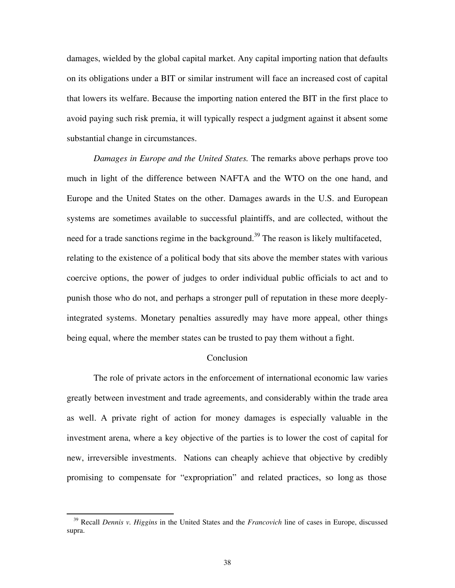damages, wielded by the global capital market. Any capital importing nation that defaults on its obligations under a BIT or similar instrument will face an increased cost of capital that lowers its welfare. Because the importing nation entered the BIT in the first place to avoid paying such risk premia, it will typically respect a judgment against it absent some substantial change in circumstances.

*Damages in Europe and the United States.* The remarks above perhaps prove too much in light of the difference between NAFTA and the WTO on the one hand, and Europe and the United States on the other. Damages awards in the U.S. and European systems are sometimes available to successful plaintiffs, and are collected, without the need for a trade sanctions regime in the background.<sup>39</sup> The reason is likely multifaceted, relating to the existence of a political body that sits above the member states with various coercive options, the power of judges to order individual public officials to act and to punish those who do not, and perhaps a stronger pull of reputation in these more deeplyintegrated systems. Monetary penalties assuredly may have more appeal, other things being equal, where the member states can be trusted to pay them without a fight.

#### Conclusion

 The role of private actors in the enforcement of international economic law varies greatly between investment and trade agreements, and considerably within the trade area as well. A private right of action for money damages is especially valuable in the investment arena, where a key objective of the parties is to lower the cost of capital for new, irreversible investments. Nations can cheaply achieve that objective by credibly promising to compensate for "expropriation" and related practices, so long as those

 <sup>39</sup> Recall *Dennis v. Higgins* in the United States and the *Francovich* line of cases in Europe, discussed supra.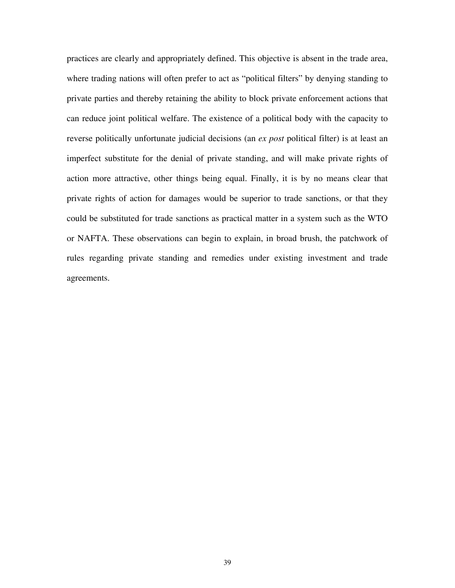practices are clearly and appropriately defined. This objective is absent in the trade area, where trading nations will often prefer to act as "political filters" by denying standing to private parties and thereby retaining the ability to block private enforcement actions that can reduce joint political welfare. The existence of a political body with the capacity to reverse politically unfortunate judicial decisions (an *ex post* political filter) is at least an imperfect substitute for the denial of private standing, and will make private rights of action more attractive, other things being equal. Finally, it is by no means clear that private rights of action for damages would be superior to trade sanctions, or that they could be substituted for trade sanctions as practical matter in a system such as the WTO or NAFTA. These observations can begin to explain, in broad brush, the patchwork of rules regarding private standing and remedies under existing investment and trade agreements.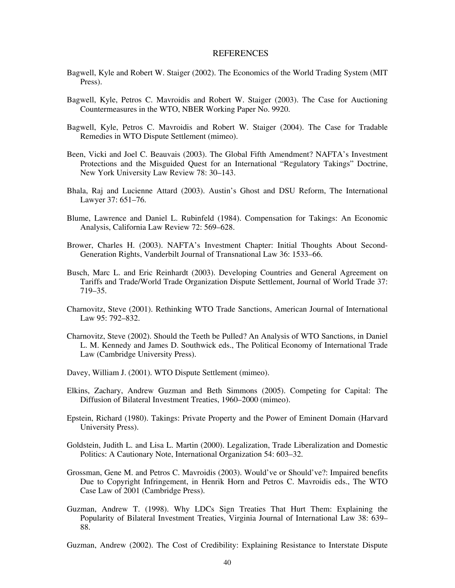#### REFERENCES

- Bagwell, Kyle and Robert W. Staiger (2002). The Economics of the World Trading System (MIT Press).
- Bagwell, Kyle, Petros C. Mavroidis and Robert W. Staiger (2003). The Case for Auctioning Countermeasures in the WTO, NBER Working Paper No. 9920.
- Bagwell, Kyle, Petros C. Mavroidis and Robert W. Staiger (2004). The Case for Tradable Remedies in WTO Dispute Settlement (mimeo).
- Been, Vicki and Joel C. Beauvais (2003). The Global Fifth Amendment? NAFTA's Investment Protections and the Misguided Quest for an International "Regulatory Takings" Doctrine, New York University Law Review 78: 30–143.
- Bhala, Raj and Lucienne Attard (2003). Austin's Ghost and DSU Reform, The International Lawyer 37: 651–76.
- Blume, Lawrence and Daniel L. Rubinfeld (1984). Compensation for Takings: An Economic Analysis, California Law Review 72: 569–628.
- Brower, Charles H. (2003). NAFTA's Investment Chapter: Initial Thoughts About Second-Generation Rights, Vanderbilt Journal of Transnational Law 36: 1533–66.
- Busch, Marc L. and Eric Reinhardt (2003). Developing Countries and General Agreement on Tariffs and Trade/World Trade Organization Dispute Settlement, Journal of World Trade 37: 719–35.
- Charnovitz, Steve (2001). Rethinking WTO Trade Sanctions, American Journal of International Law 95: 792–832.
- Charnovitz, Steve (2002). Should the Teeth be Pulled? An Analysis of WTO Sanctions, in Daniel L. M. Kennedy and James D. Southwick eds., The Political Economy of International Trade Law (Cambridge University Press).
- Davey, William J. (2001). WTO Dispute Settlement (mimeo).
- Elkins, Zachary, Andrew Guzman and Beth Simmons (2005). Competing for Capital: The Diffusion of Bilateral Investment Treaties, 1960–2000 (mimeo).
- Epstein, Richard (1980). Takings: Private Property and the Power of Eminent Domain (Harvard University Press).
- Goldstein, Judith L. and Lisa L. Martin (2000). Legalization, Trade Liberalization and Domestic Politics: A Cautionary Note, International Organization 54: 603–32.
- Grossman, Gene M. and Petros C. Mavroidis (2003). Would've or Should've?: Impaired benefits Due to Copyright Infringement, in Henrik Horn and Petros C. Mavroidis eds., The WTO Case Law of 2001 (Cambridge Press).
- Guzman, Andrew T. (1998). Why LDCs Sign Treaties That Hurt Them: Explaining the Popularity of Bilateral Investment Treaties, Virginia Journal of International Law 38: 639– 88.

Guzman, Andrew (2002). The Cost of Credibility: Explaining Resistance to Interstate Dispute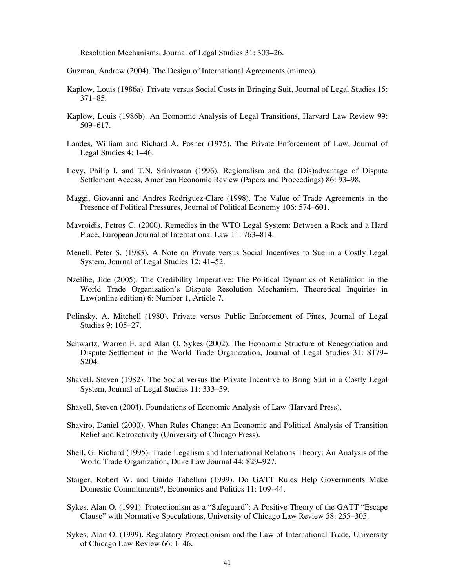Resolution Mechanisms, Journal of Legal Studies 31: 303–26.

Guzman, Andrew (2004). The Design of International Agreements (mimeo).

- Kaplow, Louis (1986a). Private versus Social Costs in Bringing Suit, Journal of Legal Studies 15: 371–85.
- Kaplow, Louis (1986b). An Economic Analysis of Legal Transitions, Harvard Law Review 99: 509–617.
- Landes, William and Richard A, Posner (1975). The Private Enforcement of Law, Journal of Legal Studies 4: 1–46.
- Levy, Philip I. and T.N. Srinivasan (1996). Regionalism and the (Dis)advantage of Dispute Settlement Access, American Economic Review (Papers and Proceedings) 86: 93–98.
- Maggi, Giovanni and Andres Rodriguez-Clare (1998). The Value of Trade Agreements in the Presence of Political Pressures, Journal of Political Economy 106: 574–601.
- Mavroidis, Petros C. (2000). Remedies in the WTO Legal System: Between a Rock and a Hard Place, European Journal of International Law 11: 763–814.
- Menell, Peter S. (1983). A Note on Private versus Social Incentives to Sue in a Costly Legal System, Journal of Legal Studies 12: 41–52.
- Nzelibe, Jide (2005). The Credibility Imperative: The Political Dynamics of Retaliation in the World Trade Organization's Dispute Resolution Mechanism, Theoretical Inquiries in Law(online edition) 6: Number 1, Article 7.
- Polinsky, A. Mitchell (1980). Private versus Public Enforcement of Fines, Journal of Legal Studies 9: 105–27.
- Schwartz, Warren F. and Alan O. Sykes (2002). The Economic Structure of Renegotiation and Dispute Settlement in the World Trade Organization, Journal of Legal Studies 31: S179– S204.
- Shavell, Steven (1982). The Social versus the Private Incentive to Bring Suit in a Costly Legal System, Journal of Legal Studies 11: 333–39.
- Shavell, Steven (2004). Foundations of Economic Analysis of Law (Harvard Press).
- Shaviro, Daniel (2000). When Rules Change: An Economic and Political Analysis of Transition Relief and Retroactivity (University of Chicago Press).
- Shell, G. Richard (1995). Trade Legalism and International Relations Theory: An Analysis of the World Trade Organization, Duke Law Journal 44: 829–927.
- Staiger, Robert W. and Guido Tabellini (1999). Do GATT Rules Help Governments Make Domestic Commitments?, Economics and Politics 11: 109–44.
- Sykes, Alan O. (1991). Protectionism as a "Safeguard": A Positive Theory of the GATT "Escape Clause" with Normative Speculations, University of Chicago Law Review 58: 255–305.
- Sykes, Alan O. (1999). Regulatory Protectionism and the Law of International Trade, University of Chicago Law Review 66: 1–46.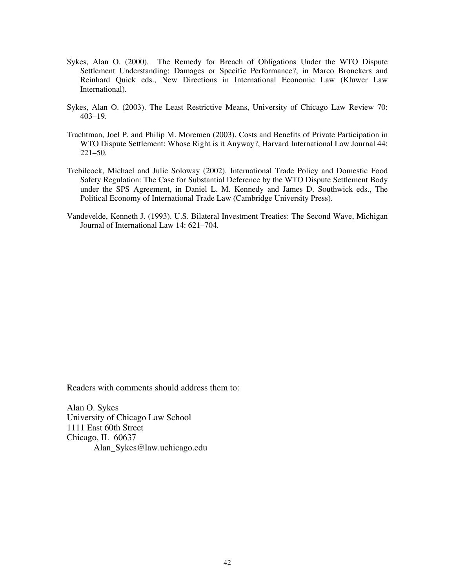- Sykes, Alan O. (2000). The Remedy for Breach of Obligations Under the WTO Dispute Settlement Understanding: Damages or Specific Performance?, in Marco Bronckers and Reinhard Quick eds., New Directions in International Economic Law (Kluwer Law International).
- Sykes, Alan O. (2003). The Least Restrictive Means, University of Chicago Law Review 70: 403–19.
- Trachtman, Joel P. and Philip M. Moremen (2003). Costs and Benefits of Private Participation in WTO Dispute Settlement: Whose Right is it Anyway?, Harvard International Law Journal 44: 221–50.
- Trebilcock, Michael and Julie Soloway (2002). International Trade Policy and Domestic Food Safety Regulation: The Case for Substantial Deference by the WTO Dispute Settlement Body under the SPS Agreement, in Daniel L. M. Kennedy and James D. Southwick eds., The Political Economy of International Trade Law (Cambridge University Press).
- Vandevelde, Kenneth J. (1993). U.S. Bilateral Investment Treaties: The Second Wave, Michigan Journal of International Law 14: 621–704.

Readers with comments should address them to:

Alan O. Sykes University of Chicago Law School 1111 East 60th Street Chicago, IL 60637 Alan\_Sykes@law.uchicago.edu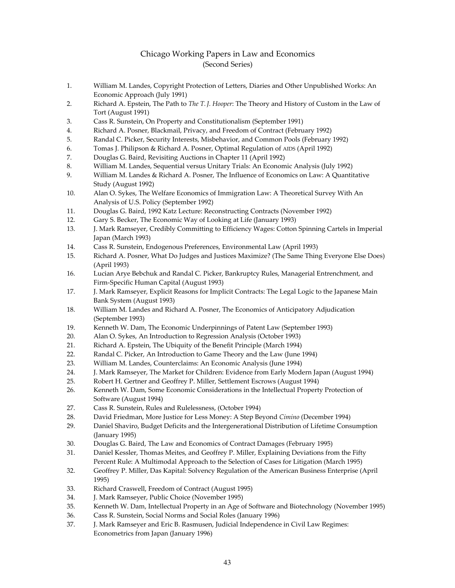#### Chicago Working Papers in Law and Economics (Second Series)

- 1. William M. Landes, Copyright Protection of Letters, Diaries and Other Unpublished Works: An Economic Approach (July 1991)
- 2. Richard A. Epstein, The Path to *The T.J. Hooper*: The Theory and History of Custom in the Law of Tort (August 1991)
- 3. Cass R. Sunstein, On Property and Constitutionalism (September 1991)
- 4. Richard A. Posner, Blackmail, Privacy, and Freedom of Contract (February 1992)
- 5. Randal C. Picker, Security Interests, Misbehavior, and Common Pools (February 1992)
- 6. Tomas J. Philipson & Richard A. Posner, Optimal Regulation of AIDS (April 1992)
- 7. Douglas G. Baird, Revisiting Auctions in Chapter 11 (April 1992)
- 8. William M. Landes, Sequential versus Unitary Trials: An Economic Analysis (July 1992)
- 9. William M. Landes & Richard A. Posner, The Influence of Economics on Law: A Quantitative Study (August 1992)
- 10. Alan O. Sykes, The Welfare Economics of Immigration Law: A Theoretical Survey With An Analysis of U.S. Policy (September 1992)
- 11. Douglas G. Baird, 1992 Katz Lecture: Reconstructing Contracts (November 1992)
- 12. Gary S. Becker, The Economic Way of Looking at Life (January 1993)
- 13. J. Mark Ramseyer, Credibly Committing to Efficiency Wages: Cotton Spinning Cartels in Imperial Japan (March 1993)
- 14. Cass R. Sunstein, Endogenous Preferences, Environmental Law (April 1993)
- 15. Richard A. Posner, What Do Judges and Justices Maximize? (The Same Thing Everyone Else Does) (April 1993)
- 16. Lucian Arye Bebchuk and Randal C. Picker, Bankruptcy Rules, Managerial Entrenchment, and Firm‐Specific Human Capital (August 1993)
- 17. J. Mark Ramseyer, Explicit Reasons for Implicit Contracts: The Legal Logic to the Japanese Main Bank System (August 1993)
- 18. William M. Landes and Richard A. Posner, The Economics of Anticipatory Adjudication (September 1993)
- 19. Kenneth W. Dam, The Economic Underpinnings of Patent Law (September 1993)
- 20. Alan O. Sykes, An Introduction to Regression Analysis (October 1993)
- 21. Richard A. Epstein, The Ubiquity of the Benefit Principle (March 1994)
- 22. Randal C. Picker, An Introduction to Game Theory and the Law (June 1994)
- 23. William M. Landes, Counterclaims: An Economic Analysis (June 1994)
- 24. J. Mark Ramseyer, The Market for Children: Evidence from Early Modern Japan (August 1994)
- 25. Robert H. Gertner and Geoffrey P. Miller, Settlement Escrows (August 1994)
- 26. Kenneth W. Dam, Some Economic Considerations in the Intellectual Property Protection of Software (August 1994)
- 27. Cass R. Sunstein, Rules and Rulelessness, (October 1994)
- 28. David Friedman, More Justice for Less Money: A Step Beyond *Cimino* (December 1994)
- 29. Daniel Shaviro, Budget Deficits and the Intergenerational Distribution of Lifetime Consumption (January 1995)
- 30. Douglas G. Baird, The Law and Economics of Contract Damages (February 1995)
- 31. Daniel Kessler, Thomas Meites, and Geoffrey P. Miller, Explaining Deviations from the Fifty Percent Rule: A Multimodal Approach to the Selection of Cases for Litigation (March 1995)
- 32. Geoffrey P. Miller, Das Kapital: Solvency Regulation of the American Business Enterprise (April 1995)
- 33. Richard Craswell, Freedom of Contract (August 1995)
- 34. J. Mark Ramseyer, Public Choice (November 1995)
- 35. Kenneth W. Dam, Intellectual Property in an Age of Software and Biotechnology (November 1995)
- 36. Cass R. Sunstein, Social Norms and Social Roles (January 1996)
- 37. J. Mark Ramseyer and Eric B. Rasmusen, Judicial Independence in Civil Law Regimes: Econometrics from Japan (January 1996)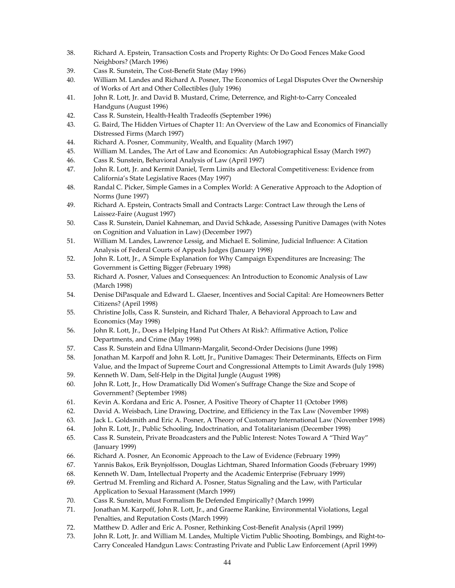- 38. Richard A. Epstein, Transaction Costs and Property Rights: Or Do Good Fences Make Good Neighbors? (March 1996)
- 39. Cass R. Sunstein, The Cost‐Benefit State (May 1996)
- 40. William M. Landes and Richard A. Posner, The Economics of Legal Disputes Over the Ownership of Works of Art and Other Collectibles (July 1996)
- 41. John R. Lott, Jr. and David B. Mustard, Crime, Deterrence, and Right-to-Carry Concealed Handguns (August 1996)
- 42. Cass R. Sunstein, Health‐Health Tradeoffs (September 1996)
- 43. G. Baird, The Hidden Virtues of Chapter 11: An Overview of the Law and Economics of Financially Distressed Firms (March 1997)
- 44. Richard A. Posner, Community, Wealth, and Equality (March 1997)
- 45. William M. Landes, The Art of Law and Economics: An Autobiographical Essay (March 1997)
- 46. Cass R. Sunstein, Behavioral Analysis of Law (April 1997)
- 47. John R. Lott, Jr. and Kermit Daniel, Term Limits and Electoral Competitiveness: Evidence from California's State Legislative Races (May 1997)
- 48. Randal C. Picker, Simple Games in a Complex World: A Generative Approach to the Adoption of Norms (June 1997)
- 49. Richard A. Epstein, Contracts Small and Contracts Large: Contract Law through the Lens of Laissez‐Faire (August 1997)
- 50. Cass R. Sunstein, Daniel Kahneman, and David Schkade, Assessing Punitive Damages (with Notes on Cognition and Valuation in Law) (December 1997)
- 51. William M. Landes, Lawrence Lessig, and Michael E. Solimine, Judicial Influence: A Citation Analysis of Federal Courts of Appeals Judges (January 1998)
- 52. John R. Lott, Jr., A Simple Explanation for Why Campaign Expenditures are Increasing: The Government is Getting Bigger (February 1998)
- 53. Richard A. Posner, Values and Consequences: An Introduction to Economic Analysis of Law (March 1998)
- 54. Denise DiPasquale and Edward L. Glaeser, Incentives and Social Capital: Are Homeowners Better Citizens? (April 1998)
- 55. Christine Jolls, Cass R. Sunstein, and Richard Thaler, A Behavioral Approach to Law and Economics (May 1998)
- 56. John R. Lott, Jr., Does a Helping Hand Put Others At Risk?: Affirmative Action, Police Departments, and Crime (May 1998)
- 57. Cass R. Sunstein and Edna Ullmann‐Margalit, Second‐Order Decisions (June 1998)
- 58. Jonathan M. Karpoff and John R. Lott, Jr., Punitive Damages: Their Determinants, Effects on Firm Value, and the Impact of Supreme Court and Congressional Attempts to Limit Awards (July 1998)
- 59. Kenneth W. Dam, Self‐Help in the Digital Jungle (August 1998)
- 60. John R. Lott, Jr., How Dramatically Did Women's Suffrage Change the Size and Scope of Government? (September 1998)
- 61. Kevin A. Kordana and Eric A. Posner, A Positive Theory of Chapter 11 (October 1998)
- 62. David A. Weisbach, Line Drawing, Doctrine, and Efficiency in the Tax Law (November 1998)
- 63. Jack L. Goldsmith and Eric A. Posner, A Theory of Customary International Law (November 1998)
- 64. John R. Lott, Jr., Public Schooling, Indoctrination, and Totalitarianism (December 1998)
- 65. Cass R. Sunstein, Private Broadcasters and the Public Interest: Notes Toward A "Third Way" (January 1999)
- 66. Richard A. Posner, An Economic Approach to the Law of Evidence (February 1999)
- 67. Yannis Bakos, Erik Brynjolfsson, Douglas Lichtman, Shared Information Goods (February 1999)
- 68. Kenneth W. Dam, Intellectual Property and the Academic Enterprise (February 1999)
- 69. Gertrud M. Fremling and Richard A. Posner, Status Signaling and the Law, with Particular Application to Sexual Harassment (March 1999)
- 70. Cass R. Sunstein, Must Formalism Be Defended Empirically? (March 1999)
- 71. Jonathan M. Karpoff, John R. Lott, Jr., and Graeme Rankine, Environmental Violations, Legal Penalties, and Reputation Costs (March 1999)
- 72. Matthew D. Adler and Eric A. Posner, Rethinking Cost-Benefit Analysis (April 1999)
- 73. John R. Lott, Jr. and William M. Landes, Multiple Victim Public Shooting, Bombings, and Right‐to‐ Carry Concealed Handgun Laws: Contrasting Private and Public Law Enforcement (April 1999)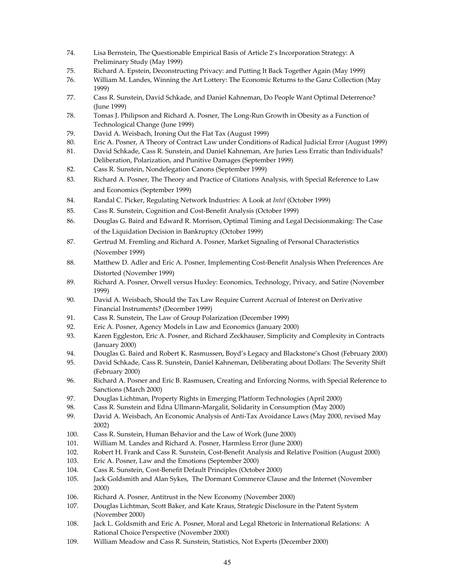- 74. Lisa Bernstein, The Questionable Empirical Basis of Article 2's Incorporation Strategy: A Preliminary Study (May 1999)
- 75. Richard A. Epstein, Deconstructing Privacy: and Putting It Back Together Again (May 1999)
- 76. William M. Landes, Winning the Art Lottery: The Economic Returns to the Ganz Collection (May 1999)
- 77. Cass R. Sunstein, David Schkade, and Daniel Kahneman, Do People Want Optimal Deterrence? (June 1999)
- 78. Tomas J. Philipson and Richard A. Posner, The Long‐Run Growth in Obesity as a Function of Technological Change (June 1999)
- 79. David A. Weisbach, Ironing Out the Flat Tax (August 1999)
- 80. Eric A. Posner, A Theory of Contract Law under Conditions of Radical Judicial Error (August 1999)
- 81. David Schkade, Cass R. Sunstein, and Daniel Kahneman, Are Juries Less Erratic than Individuals? Deliberation, Polarization, and Punitive Damages (September 1999)
- 82. Cass R. Sunstein, Nondelegation Canons (September 1999)
- 83. Richard A. Posner, The Theory and Practice of Citations Analysis, with Special Reference to Law and Economics (September 1999)
- 84. Randal C. Picker, Regulating Network Industries: A Look at *Intel* (October 1999)
- 85. Cass R. Sunstein, Cognition and Cost‐Benefit Analysis (October 1999)
- 86. Douglas G. Baird and Edward R. Morrison, Optimal Timing and Legal Decisionmaking: The Case of the Liquidation Decision in Bankruptcy (October 1999)
- 87. Gertrud M. Fremling and Richard A. Posner, Market Signaling of Personal Characteristics (November 1999)
- 88. Matthew D. Adler and Eric A. Posner, Implementing Cost-Benefit Analysis When Preferences Are Distorted (November 1999)
- 89. Richard A. Posner, Orwell versus Huxley: Economics, Technology, Privacy, and Satire (November 1999)
- 90. David A. Weisbach, Should the Tax Law Require Current Accrual of Interest on Derivative Financial Instruments? (December 1999)
- 91. Cass R. Sunstein, The Law of Group Polarization (December 1999)
- 92. Eric A. Posner, Agency Models in Law and Economics (January 2000)
- 93. Karen Eggleston, Eric A. Posner, and Richard Zeckhauser, Simplicity and Complexity in Contracts (January 2000)
- 94. Douglas G. Baird and Robert K. Rasmussen, Boyd's Legacy and Blackstone's Ghost (February 2000)
- 95. David Schkade, Cass R. Sunstein, Daniel Kahneman, Deliberating about Dollars: The Severity Shift (February 2000)
- 96. Richard A. Posner and Eric B. Rasmusen, Creating and Enforcing Norms, with Special Reference to Sanctions (March 2000)
- 97. Douglas Lichtman, Property Rights in Emerging Platform Technologies (April 2000)
- 98. Cass R. Sunstein and Edna Ullmann‐Margalit, Solidarity in Consumption (May 2000)
- 99. David A. Weisbach, An Economic Analysis of Anti-Tax Avoidance Laws (May 2000, revised May 2002)
- 100. Cass R. Sunstein, Human Behavior and the Law of Work (June 2000)
- 101. William M. Landes and Richard A. Posner, Harmless Error (June 2000)
- 102. Robert H. Frank and Cass R. Sunstein, Cost‐Benefit Analysis and Relative Position (August 2000)
- 103. Eric A. Posner, Law and the Emotions (September 2000)
- 104. Cass R. Sunstein, Cost-Benefit Default Principles (October 2000)
- 105. Jack Goldsmith and Alan Sykes, The Dormant Commerce Clause and the Internet (November 2000)
- 106. Richard A. Posner, Antitrust in the New Economy (November 2000)
- 107. Douglas Lichtman, Scott Baker, and Kate Kraus, Strategic Disclosure in the Patent System (November 2000)
- 108. Jack L. Goldsmith and Eric A. Posner, Moral and Legal Rhetoric in International Relations: A Rational Choice Perspective (November 2000)
- 109. William Meadow and Cass R. Sunstein, Statistics, Not Experts (December 2000)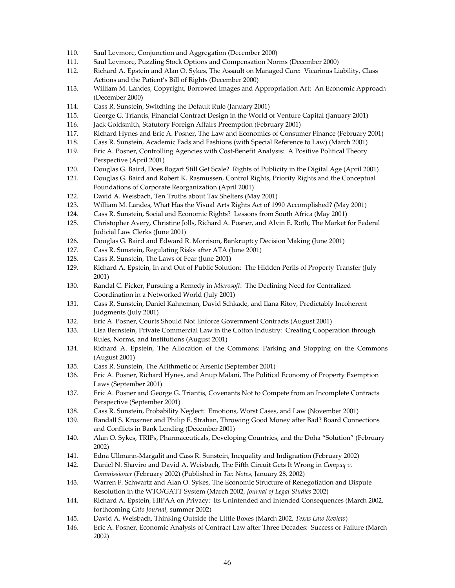- 110. Saul Levmore, Conjunction and Aggregation (December 2000)
- 111. Saul Levmore, Puzzling Stock Options and Compensation Norms (December 2000)
- 112. Richard A. Epstein and Alan O. Sykes, The Assault on Managed Care: Vicarious Liability, Class Actions and the Patient's Bill of Rights (December 2000)
- 113. William M. Landes, Copyright, Borrowed Images and Appropriation Art: An Economic Approach (December 2000)
- 114. Cass R. Sunstein, Switching the Default Rule (January 2001)
- 115. George G. Triantis, Financial Contract Design in the World of Venture Capital (January 2001)
- 116. Jack Goldsmith, Statutory Foreign Affairs Preemption (February 2001)
- 117. Richard Hynes and Eric A. Posner, The Law and Economics of Consumer Finance (February 2001)
- 118. Cass R. Sunstein, Academic Fads and Fashions (with Special Reference to Law) (March 2001)
- 119. Eric A. Posner, Controlling Agencies with Cost-Benefit Analysis: A Positive Political Theory Perspective (April 2001)
- 120. Douglas G. Baird, Does Bogart Still Get Scale? Rights of Publicity in the Digital Age (April 2001)
- 121. Douglas G. Baird and Robert K. Rasmussen, Control Rights, Priority Rights and the Conceptual Foundations of Corporate Reorganization (April 2001)
- 122. David A. Weisbach, Ten Truths about Tax Shelters (May 2001)
- 123. William M. Landes, What Has the Visual Arts Rights Act of 1990 Accomplished? (May 2001)
- 124. Cass R. Sunstein, Social and Economic Rights? Lessons from South Africa (May 2001)
- 125. Christopher Avery, Christine Jolls, Richard A. Posner, and Alvin E. Roth, The Market for Federal Judicial Law Clerks (June 2001)
- 126. Douglas G. Baird and Edward R. Morrison, Bankruptcy Decision Making (June 2001)
- 127. Cass R. Sunstein, Regulating Risks after ATA (June 2001)
- 128. Cass R. Sunstein, The Laws of Fear (June 2001)
- 129. Richard A. Epstein, In and Out of Public Solution: The Hidden Perils of Property Transfer (July 2001)
- 130. Randal C. Picker, Pursuing a Remedy in *Microsoft*: The Declining Need for Centralized Coordination in a Networked World (July 2001)
- 131. Cass R. Sunstein, Daniel Kahneman, David Schkade, and Ilana Ritov, Predictably Incoherent Judgments (July 2001)
- 132. Eric A. Posner, Courts Should Not Enforce Government Contracts (August 2001)
- 133. Lisa Bernstein, Private Commercial Law in the Cotton Industry: Creating Cooperation through Rules, Norms, and Institutions (August 2001)
- 134. Richard A. Epstein, The Allocation of the Commons: Parking and Stopping on the Commons (August 2001)
- 135. Cass R. Sunstein, The Arithmetic of Arsenic (September 2001)
- 136. Eric A. Posner, Richard Hynes, and Anup Malani, The Political Economy of Property Exemption Laws (September 2001)
- 137. Eric A. Posner and George G. Triantis, Covenants Not to Compete from an Incomplete Contracts Perspective (September 2001)
- 138. Cass R. Sunstein, Probability Neglect: Emotions, Worst Cases, and Law (November 2001)
- 139. Randall S. Kroszner and Philip E. Strahan, Throwing Good Money after Bad? Board Connections and Conflicts in Bank Lending (December 2001)
- 140. Alan O. Sykes, TRIPs, Pharmaceuticals, Developing Countries, and the Doha "Solution" (February 2002)
- 141. Edna Ullmann‐Margalit and Cass R. Sunstein, Inequality and Indignation (February 2002)
- 142. Daniel N. Shaviro and David A. Weisbach, The Fifth Circuit Gets It Wrong in *Compaq v. Commissioner* (February 2002) (Published in *Tax Notes*, January 28, 2002)
- 143. Warren F. Schwartz and Alan O. Sykes, The Economic Structure of Renegotiation and Dispute Resolution in the WTO/GATT System (March 2002, *Journal of Legal Studies* 2002)
- 144. Richard A. Epstein, HIPAA on Privacy: Its Unintended and Intended Consequences (March 2002, forthcoming *Cato Journal*, summer 2002)
- 145. David A. Weisbach, Thinking Outside the Little Boxes (March 2002, *Texas Law Review*)
- 146. Eric A. Posner, Economic Analysis of Contract Law after Three Decades: Success or Failure (March 2002)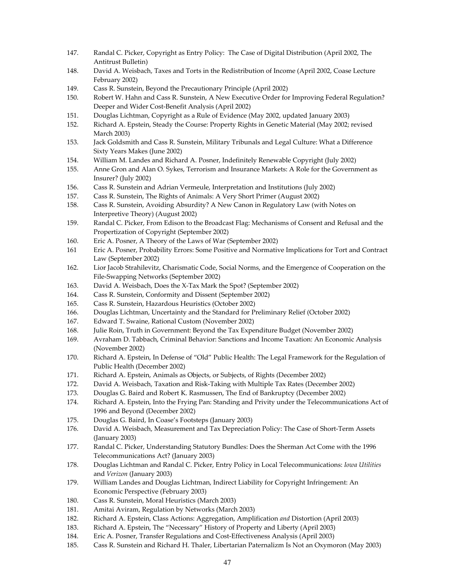- 147. Randal C. Picker, Copyright as Entry Policy: The Case of Digital Distribution (April 2002, The Antitrust Bulletin)
- 148. David A. Weisbach, Taxes and Torts in the Redistribution of Income (April 2002, Coase Lecture February 2002)
- 149. Cass R. Sunstein, Beyond the Precautionary Principle (April 2002)
- 150. Robert W. Hahn and Cass R. Sunstein, A New Executive Order for Improving Federal Regulation? Deeper and Wider Cost‐Benefit Analysis (April 2002)
- 151. Douglas Lichtman, Copyright as a Rule of Evidence (May 2002, updated January 2003)
- 152. Richard A. Epstein, Steady the Course: Property Rights in Genetic Material (May 2002; revised March 2003)
- 153. Jack Goldsmith and Cass R. Sunstein, Military Tribunals and Legal Culture: What a Difference Sixty Years Makes (June 2002)
- 154. William M. Landes and Richard A. Posner, Indefinitely Renewable Copyright (July 2002)
- 155. Anne Gron and Alan O. Sykes, Terrorism and Insurance Markets: A Role for the Government as Insurer? (July 2002)
- 156. Cass R. Sunstein and Adrian Vermeule, Interpretation and Institutions (July 2002)
- 157. Cass R. Sunstein, The Rights of Animals: A Very Short Primer (August 2002)
- 158. Cass R. Sunstein, Avoiding Absurdity? A New Canon in Regulatory Law (with Notes on Interpretive Theory) (August 2002)
- 159. Randal C. Picker, From Edison to the Broadcast Flag: Mechanisms of Consent and Refusal and the Propertization of Copyright (September 2002)
- 160. Eric A. Posner, A Theory of the Laws of War (September 2002)
- 161 Eric A. Posner, Probability Errors: Some Positive and Normative Implications for Tort and Contract Law (September 2002)
- 162. Lior Jacob Strahilevitz, Charismatic Code, Social Norms, and the Emergence of Cooperation on the File‐Swapping Networks (September 2002)
- 163. David A. Weisbach, Does the X‐Tax Mark the Spot? (September 2002)
- 164. Cass R. Sunstein, Conformity and Dissent (September 2002)
- 165. Cass R. Sunstein, Hazardous Heuristics (October 2002)
- 166. Douglas Lichtman, Uncertainty and the Standard for Preliminary Relief (October 2002)
- 167. Edward T. Swaine, Rational Custom (November 2002)
- 168. Julie Roin, Truth in Government: Beyond the Tax Expenditure Budget (November 2002)
- 169. Avraham D. Tabbach, Criminal Behavior: Sanctions and Income Taxation: An Economic Analysis (November 2002)
- 170. Richard A. Epstein, In Defense of "Old" Public Health: The Legal Framework for the Regulation of Public Health (December 2002)
- 171. Richard A. Epstein, Animals as Objects, or Subjects, of Rights (December 2002)
- 172. David A. Weisbach, Taxation and Risk‐Taking with Multiple Tax Rates (December 2002)
- 173. Douglas G. Baird and Robert K. Rasmussen, The End of Bankruptcy (December 2002)
- 174. Richard A. Epstein, Into the Frying Pan: Standing and Privity under the Telecommunications Act of 1996 and Beyond (December 2002)
- 175. Douglas G. Baird, In Coase's Footsteps (January 2003)
- 176. David A. Weisbach, Measurement and Tax Depreciation Policy: The Case of Short-Term Assets (January 2003)
- 177. Randal C. Picker, Understanding Statutory Bundles: Does the Sherman Act Come with the 1996 Telecommunications Act? (January 2003)
- 178. Douglas Lichtman and Randal C. Picker, Entry Policy in Local Telecommunications: *Iowa Utilities* and *Verizon* (January 2003)
- 179. William Landes and Douglas Lichtman, Indirect Liability for Copyright Infringement: An Economic Perspective (February 2003)
- 180. Cass R. Sunstein, Moral Heuristics (March 2003)
- 181. Amitai Aviram, Regulation by Networks (March 2003)
- 182. Richard A. Epstein, Class Actions: Aggregation, Amplification *and* Distortion (April 2003)
- 183. Richard A. Epstein, The "Necessary" History of Property and Liberty (April 2003)
- 184. Eric A. Posner, Transfer Regulations and Cost‐Effectiveness Analysis (April 2003)
- 185. Cass R. Sunstein and Richard H. Thaler, Libertarian Paternalizm Is Not an Oxymoron (May 2003)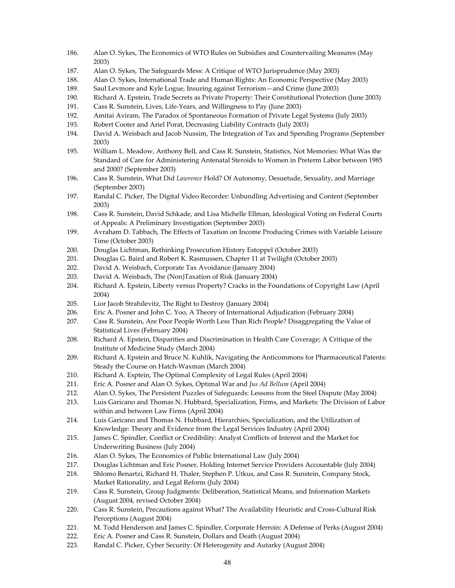- 186. Alan O. Sykes, The Economics of WTO Rules on Subsidies and Countervailing Measures (May 2003)
- 187. Alan O. Sykes, The Safeguards Mess: A Critique of WTO Jurisprudence (May 2003)
- 188. Alan O. Sykes, International Trade and Human Rights: An Economic Perspective (May 2003)
- 189. Saul Levmore and Kyle Logue, Insuring against Terrorism—and Crime (June 2003)
- 190. Richard A. Epstein, Trade Secrets as Private Property: Their Constitutional Protection (June 2003)
- 191. Cass R. Sunstein, Lives, Life-Years, and Willingness to Pay (June 2003)
- 192. Amitai Aviram, The Paradox of Spontaneous Formation of Private Legal Systems (July 2003)
- 193. Robert Cooter and Ariel Porat, Decreasing Liability Contracts (July 2003)
- 194. David A. Weisbach and Jacob Nussim, The Integration of Tax and Spending Programs (September 2003)
- 195. William L. Meadow, Anthony Bell, and Cass R. Sunstein, Statistics, Not Memories: What Was the Standard of Care for Administering Antenatal Steroids to Women in Preterm Labor between 1985 and 2000? (September 2003)
- 196. Cass R. Sunstein, What Did *Lawrence* Hold? Of Autonomy, Desuetude, Sexuality, and Marriage (September 2003)
- 197. Randal C. Picker, The Digital Video Recorder: Unbundling Advertising and Content (September 2003)
- 198. Cass R. Sunstein, David Schkade, and Lisa Michelle Ellman, Ideological Voting on Federal Courts of Appeals: A Preliminary Investigation (September 2003)
- 199. Avraham D. Tabbach, The Effects of Taxation on Income Producing Crimes with Variable Leisure Time (October 2003)
- 200. Douglas Lichtman, Rethinking Prosecution History Estoppel (October 2003)
- 201. Douglas G. Baird and Robert K. Rasmussen, Chapter 11 at Twilight (October 2003)
- 202. David A. Weisbach, Corporate Tax Avoidance (January 2004)
- 203. David A. Weisbach, The (Non)Taxation of Risk (January 2004)
- 204. Richard A. Epstein, Liberty versus Property? Cracks in the Foundations of Copyright Law (April 2004)
- 205. Lior Jacob Strahilevitz, The Right to Destroy (January 2004)
- 206. Eric A. Posner and John C. Yoo, A Theory of International Adjudication (February 2004)
- 207. Cass R. Sunstein, Are Poor People Worth Less Than Rich People? Disaggregating the Value of Statistical Lives (February 2004)
- 208. Richard A. Epstein, Disparities and Discrimination in Health Care Coverage; A Critique of the Institute of Medicine Study (March 2004)
- 209. Richard A. Epstein and Bruce N. Kuhlik, Navigating the Anticommons for Pharmaceutical Patents: Steady the Course on Hatch‐Waxman (March 2004)
- 210. Richard A. Esptein, The Optimal Complexity of Legal Rules (April 2004)
- 211. Eric A. Posner and Alan O. Sykes, Optimal War and *Jus Ad Bellum* (April 2004)
- 212. Alan O. Sykes, The Persistent Puzzles of Safeguards: Lessons from the Steel Dispute (May 2004)
- 213. Luis Garicano and Thomas N. Hubbard, Specialization, Firms, and Markets: The Division of Labor within and between Law Firms (April 2004)
- 214. Luis Garicano and Thomas N. Hubbard, Hierarchies, Specialization, and the Utilization of Knowledge: Theory and Evidence from the Legal Services Industry (April 2004)
- 215. James C. Spindler, Conflict or Credibility: Analyst Conflicts of Interest and the Market for Underwriting Business (July 2004)
- 216. Alan O. Sykes, The Economics of Public International Law (July 2004)
- 217. Douglas Lichtman and Eric Posner, Holding Internet Service Providers Accountable (July 2004)
- 218. Shlomo Benartzi, Richard H. Thaler, Stephen P. Utkus, and Cass R. Sunstein, Company Stock, Market Rationality, and Legal Reform (July 2004)
- 219. Cass R. Sunstein, Group Judgments: Deliberation, Statistical Means, and Information Markets (August 2004, revised October 2004)
- 220. Cass R. Sunstein, Precautions against What? The Availability Heuristic and Cross-Cultural Risk Perceptions (August 2004)
- 221. M. Todd Henderson and James C. Spindler, Corporate Herroin: A Defense of Perks (August 2004)
- 222. Eric A. Posner and Cass R. Sunstein, Dollars and Death (August 2004)
- 223. Randal C. Picker, Cyber Security: Of Heterogenity and Autarky (August 2004)